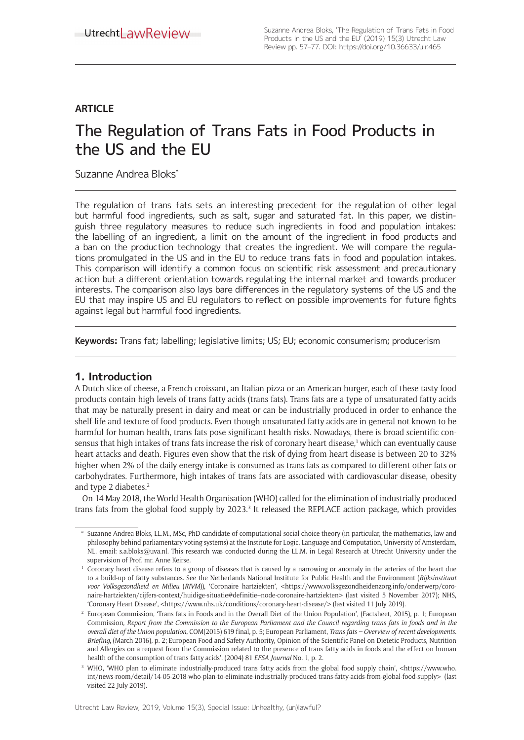# **ARTICLE**

# The Regulation of Trans Fats in Food Products in the US and the EU

Suzanne Andrea Bloks\*

The regulation of trans fats sets an interesting precedent for the regulation of other legal but harmful food ingredients, such as salt, sugar and saturated fat. In this paper, we distinguish three regulatory measures to reduce such ingredients in food and population intakes: the labelling of an ingredient, a limit on the amount of the ingredient in food products and a ban on the production technology that creates the ingredient. We will compare the regulations promulgated in the US and in the EU to reduce trans fats in food and population intakes. This comparison will identify a common focus on scientific risk assessment and precautionary action but a different orientation towards regulating the internal market and towards producer interests. The comparison also lays bare differences in the regulatory systems of the US and the EU that may inspire US and EU regulators to reflect on possible improvements for future fights against legal but harmful food ingredients.

**Keywords:** Trans fat; labelling; legislative limits; US; EU; economic consumerism; producerism

# **1. Introduction**

A Dutch slice of cheese, a French croissant, an Italian pizza or an American burger, each of these tasty food products contain high levels of trans fatty acids (trans fats). Trans fats are a type of unsaturated fatty acids that may be naturally present in dairy and meat or can be industrially produced in order to enhance the shelf-life and texture of food products. Even though unsaturated fatty acids are in general not known to be harmful for human health, trans fats pose significant health risks. Nowadays, there is broad scientific consensus that high intakes of trans fats increase the risk of coronary heart disease,' which can eventually cause heart attacks and death. Figures even show that the risk of dying from heart disease is between 20 to 32% higher when 2% of the daily energy intake is consumed as trans fats as compared to different other fats or carbohydrates. Furthermore, high intakes of trans fats are associated with cardiovascular disease, obesity and type 2 diabetes.<sup>2</sup>

On 14 May 2018, the World Health Organisation (WHO) called for the elimination of industrially-produced trans fats from the global food supply by 2023.<sup>3</sup> It released the REPLACE action package, which provides

<sup>\*</sup> Suzanne Andrea Bloks, LL.M., MSc, PhD candidate of computational social choice theory (in particular, the mathematics, law and philosophy behind parliamentary voting systems) at the Institute for Logic, Language and Computation, University of Amsterdam, NL. email: s.a.bloks@uva.nl. This research was conducted during the LL.M. in Legal Research at Utrecht University under the supervision of Prof. mr. Anne Keirse.

<sup>&</sup>lt;sup>1</sup> Coronary heart disease refers to a group of diseases that is caused by a narrowing or anomaly in the arteries of the heart due to a build-up of fatty substances. See the Netherlands National Institute for Public Health and the Environment (*Rijksinstituut voor Volksgezondheid en Milieu* (*RIVM*)), 'Coronaire hartziekten', <https://www.volksgezondheidenzorg.info/onderwerp/coronaire-hartziekten/cijfers-context/huidige-situatie#definitie--node-coronaire-hartziekten> (last visited 5 November 2017); NHS, 'Coronary Heart Disease', <https://www.nhs.uk/conditions/coronary-heart-disease/> (last visited 11 July 2019).

<sup>2</sup> European Commission, 'Trans fats in Foods and in the Overall Diet of the Union Population', (Factsheet, 2015), p. 1; European Commission, *Report from the Commission to the European Parliament and the Council regarding trans fats in foods and in the overall diet of the Union population*, COM(2015) 619 final, p. 5; European Parliament, *Trans fats – Overview of recent developments. Briefing*, (March 2016), p. 2; European Food and Safety Authority, Opinion of the Scientific Panel on Dietetic Products, Nutrition and Allergies on a request from the Commission related to the presence of trans fatty acids in foods and the effect on human health of the consumption of trans fatty acids', (2004) 81 *EFSA Journal* No. 1, p. 2.

<sup>&</sup>lt;sup>3</sup> WHO, 'WHO plan to eliminate industrially-produced trans fatty acids from the global food supply chain', <https://www.who. int/news-room/detail/14-05-2018-who-plan-to-eliminate-industrially-produced-trans-fatty-acids-from-global-food-supply> (last visited 22 July 2019).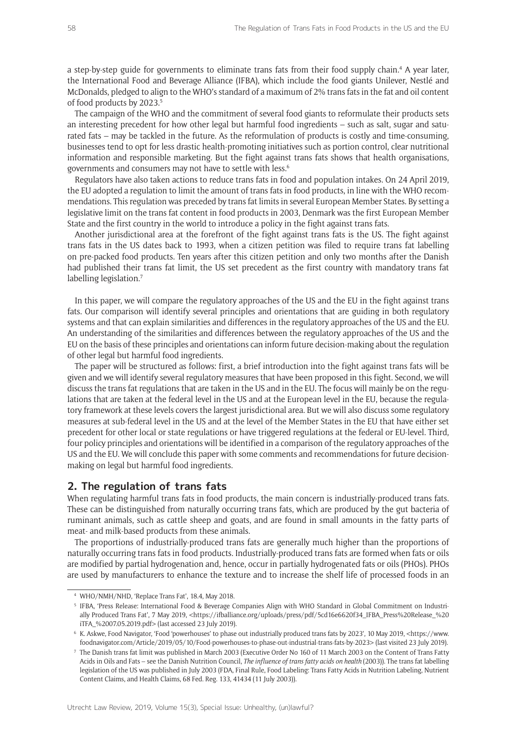a step-by-step guide for governments to eliminate trans fats from their food supply chain.<sup>4</sup> A year later, the International Food and Beverage Alliance (IFBA), which include the food giants Unilever, Nestlé and McDonalds, pledged to align to the WHO's standard of a maximum of 2% trans fats in the fat and oil content of food products by 2023.<sup>5</sup>

The campaign of the WHO and the commitment of several food giants to reformulate their products sets an interesting precedent for how other legal but harmful food ingredients – such as salt, sugar and saturated fats – may be tackled in the future. As the reformulation of products is costly and time-consuming, businesses tend to opt for less drastic health-promoting initiatives such as portion control, clear nutritional information and responsible marketing. But the fight against trans fats shows that health organisations, governments and consumers may not have to settle with less.6

Regulators have also taken actions to reduce trans fats in food and population intakes. On 24 April 2019, the EU adopted a regulation to limit the amount of trans fats in food products, in line with the WHO recommendations. This regulation was preceded by trans fat limits in several European Member States. By setting a legislative limit on the trans fat content in food products in 2003, Denmark was the first European Member State and the first country in the world to introduce a policy in the fight against trans fats.

Another jurisdictional area at the forefront of the fight against trans fats is the US. The fight against trans fats in the US dates back to 1993, when a citizen petition was filed to require trans fat labelling on pre-packed food products. Ten years after this citizen petition and only two months after the Danish had published their trans fat limit, the US set precedent as the first country with mandatory trans fat labelling legislation.<sup>7</sup>

In this paper, we will compare the regulatory approaches of the US and the EU in the fight against trans fats. Our comparison will identify several principles and orientations that are guiding in both regulatory systems and that can explain similarities and differences in the regulatory approaches of the US and the EU. An understanding of the similarities and differences between the regulatory approaches of the US and the EU on the basis of these principles and orientations can inform future decision-making about the regulation of other legal but harmful food ingredients.

The paper will be structured as follows: first, a brief introduction into the fight against trans fats will be given and we will identify several regulatory measures that have been proposed in this fight. Second, we will discuss the trans fat regulations that are taken in the US and in the EU. The focus will mainly be on the regulations that are taken at the federal level in the US and at the European level in the EU, because the regulatory framework at these levels covers the largest jurisdictional area. But we will also discuss some regulatory measures at sub-federal level in the US and at the level of the Member States in the EU that have either set precedent for other local or state regulations or have triggered regulations at the federal or EU-level. Third, four policy principles and orientations will be identified in a comparison of the regulatory approaches of the US and the EU. We will conclude this paper with some comments and recommendations for future decisionmaking on legal but harmful food ingredients.

# **2. The regulation of trans fats**

When regulating harmful trans fats in food products, the main concern is industrially-produced trans fats. These can be distinguished from naturally occurring trans fats, which are produced by the gut bacteria of ruminant animals, such as cattle sheep and goats, and are found in small amounts in the fatty parts of meat- and milk-based products from these animals.

The proportions of industrially-produced trans fats are generally much higher than the proportions of naturally occurring trans fats in food products. Industrially-produced trans fats are formed when fats or oils are modified by partial hydrogenation and, hence, occur in partially hydrogenated fats or oils (PHOs). PHOs are used by manufacturers to enhance the texture and to increase the shelf life of processed foods in an

<sup>4</sup> WHO/NMH/NHD, 'Replace Trans Fat', 18.4, May 2018.

<sup>5</sup> IFBA, 'Press Release: International Food & Beverage Companies Align with WHO Standard in Global Commitment on Industrially Produced Trans Fat', 7 May 2019, <https://ifballiance.org/uploads/press/pdf/5cd16e6620f34\_IFBA\_Press%20Release\_%20 iTFA\_%2007.05.2019.pdf> (last accessed 23 July 2019).

<sup>6</sup> K. Askwe, Food Navigator, 'Food 'powerhouses' to phase out industrially produced trans fats by 2023', 10 May 2019, <https://www. foodnavigator.com/Article/2019/05/10/Food-powerhouses-to-phase-out-industrial-trans-fats-by-2023> (last visited 23 July 2019).

<sup>7</sup> The Danish trans fat limit was published in March 2003 (Executive Order No 160 of 11 March 2003 on the Content of Trans Fatty Acids in Oils and Fats – see the Danish Nutrition Council, *The influence of trans fatty acids on health* (2003)). The trans fat labelling legislation of the US was published in July 2003 (FDA, Final Rule, Food Labeling: Trans Fatty Acids in Nutrition Labeling, Nutrient Content Claims, and Health Claims, 68 Fed. Reg. 133, 41434 (11 July 2003)).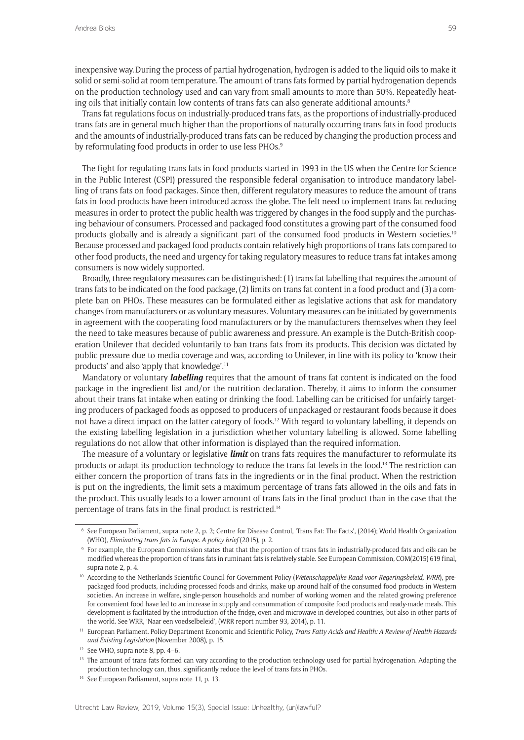inexpensive way.During the process of partial hydrogenation, hydrogen is added to the liquid oils to make it solid or semi-solid at room temperature. The amount of trans fats formed by partial hydrogenation depends on the production technology used and can vary from small amounts to more than 50%. Repeatedly heating oils that initially contain low contents of trans fats can also generate additional amounts.<sup>8</sup>

Trans fat regulations focus on industrially-produced trans fats, as the proportions of industrially-produced trans fats are in general much higher than the proportions of naturally occurring trans fats in food products and the amounts of industrially-produced trans fats can be reduced by changing the production process and by reformulating food products in order to use less PHOs.<sup>9</sup>

The fight for regulating trans fats in food products started in 1993 in the US when the Centre for Science in the Public Interest (CSPI) pressured the responsible federal organisation to introduce mandatory labelling of trans fats on food packages. Since then, different regulatory measures to reduce the amount of trans fats in food products have been introduced across the globe. The felt need to implement trans fat reducing measures in order to protect the public health was triggered by changes in the food supply and the purchasing behaviour of consumers. Processed and packaged food constitutes a growing part of the consumed food products globally and is already a significant part of the consumed food products in Western societies.<sup>10</sup> Because processed and packaged food products contain relatively high proportions of trans fats compared to other food products, the need and urgency for taking regulatory measures to reduce trans fat intakes among consumers is now widely supported.

Broadly, three regulatory measures can be distinguished: (1) trans fat labelling that requires the amount of trans fats to be indicated on the food package, (2) limits on trans fat content in a food product and (3) a complete ban on PHOs. These measures can be formulated either as legislative actions that ask for mandatory changes from manufacturers or as voluntary measures. Voluntary measures can be initiated by governments in agreement with the cooperating food manufacturers or by the manufacturers themselves when they feel the need to take measures because of public awareness and pressure. An example is the Dutch-British cooperation Unilever that decided voluntarily to ban trans fats from its products. This decision was dictated by public pressure due to media coverage and was, according to Unilever, in line with its policy to 'know their products' and also 'apply that knowledge'.11

Mandatory or voluntary *labelling* requires that the amount of trans fat content is indicated on the food package in the ingredient list and/or the nutrition declaration. Thereby, it aims to inform the consumer about their trans fat intake when eating or drinking the food. Labelling can be criticised for unfairly targeting producers of packaged foods as opposed to producers of unpackaged or restaurant foods because it does not have a direct impact on the latter category of foods.12 With regard to voluntary labelling, it depends on the existing labelling legislation in a jurisdiction whether voluntary labelling is allowed. Some labelling regulations do not allow that other information is displayed than the required information.

The measure of a voluntary or legislative *limit* on trans fats requires the manufacturer to reformulate its products or adapt its production technology to reduce the trans fat levels in the food.<sup>13</sup> The restriction can either concern the proportion of trans fats in the ingredients or in the final product. When the restriction is put on the ingredients, the limit sets a maximum percentage of trans fats allowed in the oils and fats in the product. This usually leads to a lower amount of trans fats in the final product than in the case that the percentage of trans fats in the final product is restricted.14

<sup>8</sup> See European Parliament, supra note 2, p. 2; Centre for Disease Control, 'Trans Fat: The Facts', (2014); World Health Organization (WHO), *Eliminating trans fats in Europe. A policy brief* (2015), p. 2.

<sup>9</sup> For example, the European Commission states that that the proportion of trans fats in industrially-produced fats and oils can be modified whereas the proportion of trans fats in ruminant fats is relatively stable. See European Commission, COM(2015) 619 final, supra note 2, p. 4.

<sup>10</sup> According to the Netherlands Scientific Council for Government Policy (*Wetenschappelijke Raad voor Regeringsbeleid, WRR*), prepackaged food products, including processed foods and drinks, make up around half of the consumed food products in Western societies. An increase in welfare, single-person households and number of working women and the related growing preference for convenient food have led to an increase in supply and consummation of composite food products and ready-made meals. This development is facilitated by the introduction of the fridge, oven and microwave in developed countries, but also in other parts of the world. See WRR, 'Naar een voedselbeleid', (WRR report number 93, 2014), p. 11.

<sup>11</sup> European Parliament. Policy Department Economic and Scientific Policy, *Trans Fatty Acids and Health: A Review of Health Hazards and Existing Legislation* (November 2008), p. 15.

<sup>&</sup>lt;sup>12</sup> See WHO, supra note 8, pp. 4-6.

<sup>&</sup>lt;sup>13</sup> The amount of trans fats formed can vary according to the production technology used for partial hydrogenation. Adapting the production technology can, thus, significantly reduce the level of trans fats in PHOs.

<sup>&</sup>lt;sup>14</sup> See European Parliament, supra note 11, p. 13.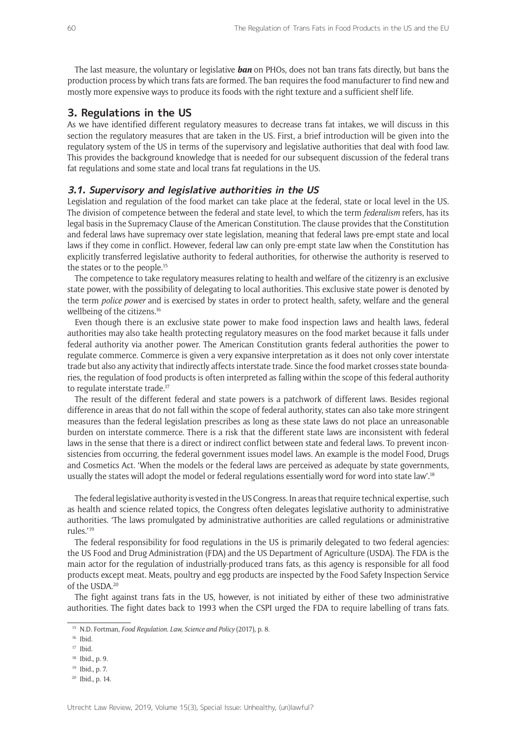The last measure, the voluntary or legislative *ban* on PHOs, does not ban trans fats directly, but bans the production process by which trans fats are formed. The ban requires the food manufacturer to find new and mostly more expensive ways to produce its foods with the right texture and a sufficient shelf life.

## **3. Regulations in the US**

As we have identified different regulatory measures to decrease trans fat intakes, we will discuss in this section the regulatory measures that are taken in the US. First, a brief introduction will be given into the regulatory system of the US in terms of the supervisory and legislative authorities that deal with food law. This provides the background knowledge that is needed for our subsequent discussion of the federal trans fat regulations and some state and local trans fat regulations in the US.

## **3.1. Supervisory and legislative authorities in the US**

Legislation and regulation of the food market can take place at the federal, state or local level in the US. The division of competence between the federal and state level, to which the term *federalism* refers, has its legal basis in the Supremacy Clause of the American Constitution. The clause provides that the Constitution and federal laws have supremacy over state legislation, meaning that federal laws pre-empt state and local laws if they come in conflict. However, federal law can only pre-empt state law when the Constitution has explicitly transferred legislative authority to federal authorities, for otherwise the authority is reserved to the states or to the people.<sup>15</sup>

The competence to take regulatory measures relating to health and welfare of the citizenry is an exclusive state power, with the possibility of delegating to local authorities. This exclusive state power is denoted by the term *police power* and is exercised by states in order to protect health, safety, welfare and the general wellbeing of the citizens.16

Even though there is an exclusive state power to make food inspection laws and health laws, federal authorities may also take health protecting regulatory measures on the food market because it falls under federal authority via another power. The American Constitution grants federal authorities the power to regulate commerce. Commerce is given a very expansive interpretation as it does not only cover interstate trade but also any activity that indirectly affects interstate trade. Since the food market crosses state boundaries, the regulation of food products is often interpreted as falling within the scope of this federal authority to regulate interstate trade.17

The result of the different federal and state powers is a patchwork of different laws. Besides regional difference in areas that do not fall within the scope of federal authority, states can also take more stringent measures than the federal legislation prescribes as long as these state laws do not place an unreasonable burden on interstate commerce. There is a risk that the different state laws are inconsistent with federal laws in the sense that there is a direct or indirect conflict between state and federal laws. To prevent inconsistencies from occurring, the federal government issues model laws. An example is the model Food, Drugs and Cosmetics Act. 'When the models or the federal laws are perceived as adequate by state governments, usually the states will adopt the model or federal regulations essentially word for word into state law'.18

The federal legislative authority is vested in the US Congress. In areas that require technical expertise, such as health and science related topics, the Congress often delegates legislative authority to administrative authorities. 'The laws promulgated by administrative authorities are called regulations or administrative rules.'19

The federal responsibility for food regulations in the US is primarily delegated to two federal agencies: the US Food and Drug Administration (FDA) and the US Department of Agriculture (USDA). The FDA is the main actor for the regulation of industrially-produced trans fats, as this agency is responsible for all food products except meat. Meats, poultry and egg products are inspected by the Food Safety Inspection Service of the USDA.20

The fight against trans fats in the US, however, is not initiated by either of these two administrative authorities. The fight dates back to 1993 when the CSPI urged the FDA to require labelling of trans fats.

<sup>15</sup> N.D. Fortman, *Food Regulation. Law, Science and Policy* (2017), p. 8.

<sup>16</sup> Ibid.

<sup>17</sup> Ibid.

<sup>18</sup> Ibid., p. 9.

<sup>19</sup> Ibid., p. 7.

<sup>20</sup> Ibid., p. 14.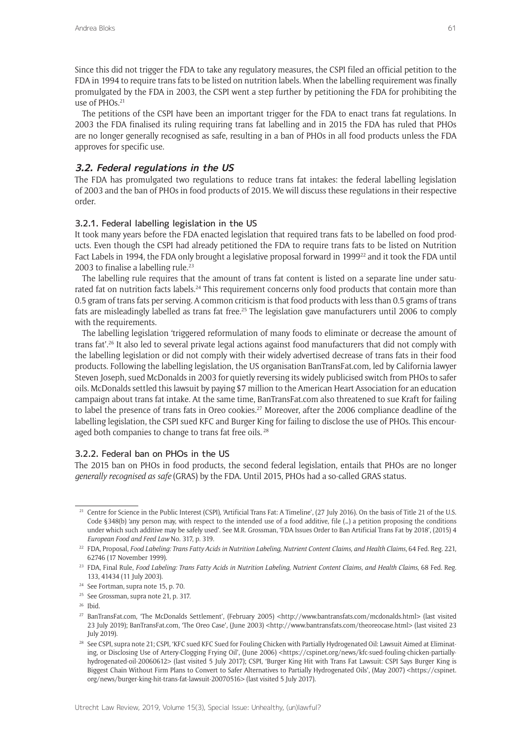Since this did not trigger the FDA to take any regulatory measures, the CSPI filed an official petition to the FDA in 1994 to require trans fats to be listed on nutrition labels. When the labelling requirement was finally promulgated by the FDA in 2003, the CSPI went a step further by petitioning the FDA for prohibiting the use of PHOs.21

The petitions of the CSPI have been an important trigger for the FDA to enact trans fat regulations. In 2003 the FDA finalised its ruling requiring trans fat labelling and in 2015 the FDA has ruled that PHOs are no longer generally recognised as safe, resulting in a ban of PHOs in all food products unless the FDA approves for specific use.

# **3.2. Federal regulations in the US**

The FDA has promulgated two regulations to reduce trans fat intakes: the federal labelling legislation of 2003 and the ban of PHOs in food products of 2015. We will discuss these regulations in their respective order.

# 3.2.1. Federal labelling legislation in the US

It took many years before the FDA enacted legislation that required trans fats to be labelled on food products. Even though the CSPI had already petitioned the FDA to require trans fats to be listed on Nutrition Fact Labels in 1994, the FDA only brought a legislative proposal forward in 1999<sup>22</sup> and it took the FDA until 2003 to finalise a labelling rule. $23$ 

The labelling rule requires that the amount of trans fat content is listed on a separate line under saturated fat on nutrition facts labels.<sup>24</sup> This requirement concerns only food products that contain more than 0.5 gram of trans fats per serving. A common criticism is that food products with less than 0.5 grams of trans fats are misleadingly labelled as trans fat free.<sup>25</sup> The legislation gave manufacturers until 2006 to comply with the requirements.

The labelling legislation 'triggered reformulation of many foods to eliminate or decrease the amount of trans fat'.26 It also led to several private legal actions against food manufacturers that did not comply with the labelling legislation or did not comply with their widely advertised decrease of trans fats in their food products. Following the labelling legislation, the US organisation BanTransFat.com, led by California lawyer Steven Joseph, sued McDonalds in 2003 for quietly reversing its widely publicised switch from PHOs to safer oils. McDonalds settled this lawsuit by paying \$7 million to the American Heart Association for an education campaign about trans fat intake. At the same time, BanTransFat.com also threatened to sue Kraft for failing to label the presence of trans fats in Oreo cookies.<sup>27</sup> Moreover, after the 2006 compliance deadline of the labelling legislation, the CSPI sued KFC and Burger King for failing to disclose the use of PHOs. This encouraged both companies to change to trans fat free oils.<sup>28</sup>

## 3.2.2. Federal ban on PHOs in the US

The 2015 ban on PHOs in food products, the second federal legislation, entails that PHOs are no longer *generally recognised as safe* (GRAS) by the FDA. Until 2015, PHOs had a so-called GRAS status.

<sup>&</sup>lt;sup>21</sup> Centre for Science in the Public Interest (CSPI), 'Artificial Trans Fat: A Timeline', (27 July 2016). On the basis of Title 21 of the U.S. Code §348(b) 'any person may, with respect to the intended use of a food additive, file (…) a petition proposing the conditions under which such additive may be safely used'. See M.R. Grossman, 'FDA Issues Order to Ban Artificial Trans Fat by 2018', (2015) 4 *European Food and Feed Law* No. 317, p. 319.

<sup>22</sup> FDA, Proposal, *Food Labeling: Trans Fatty Acids in Nutrition Labeling, Nutrient Content Claims, and Health Claims*, 64 Fed. Reg. 221, 62746 (17 November 1999).

<sup>23</sup> FDA, Final Rule, *Food Labeling: Trans Fatty Acids in Nutrition Labeling, Nutrient Content Claims, and Health Claims*, 68 Fed. Reg. 133, 41434 (11 July 2003).

<sup>24</sup> See Fortman, supra note 15, p. 70.

<sup>25</sup> See Grossman, supra note 21, p. 317.

<sup>26</sup> Ibid.

<sup>27</sup> BanTransFat.com, 'The McDonalds Settlement', (February 2005) <http://www.bantransfats.com/mcdonalds.html> (last visited 23 July 2019); BanTransFat.com, 'The Oreo Case', (June 2003) <http://www.bantransfats.com/theoreocase.html> (last visited 23 July 2019).

<sup>&</sup>lt;sup>28</sup> See CSPI, supra note 21; CSPI, 'KFC sued KFC Sued for Fouling Chicken with Partially Hydrogenated Oil: Lawsuit Aimed at Eliminating, or Disclosing Use of Artery-Clogging Frying Oil', (June 2006) <https://cspinet.org/news/kfc-sued-fouling-chicken-partiallyhydrogenated-oil-20060612> (last visited 5 July 2017); CSPI, 'Burger King Hit with Trans Fat Lawsuit: CSPI Says Burger King is Biggest Chain Without Firm Plans to Convert to Safer Alternatives to Partially Hydrogenated Oils', (May 2007) <https://cspinet. org/news/burger-king-hit-trans-fat-lawsuit-20070516> (last visited 5 July 2017).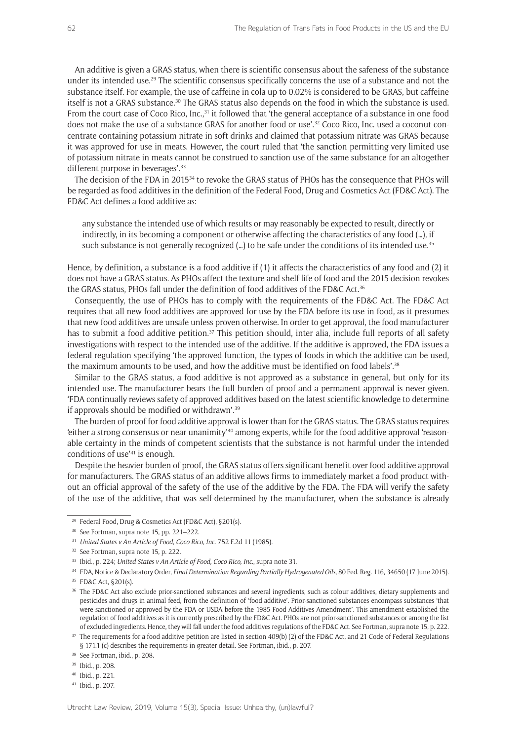An additive is given a GRAS status, when there is scientific consensus about the safeness of the substance under its intended use.<sup>29</sup> The scientific consensus specifically concerns the use of a substance and not the substance itself. For example, the use of caffeine in cola up to 0.02% is considered to be GRAS, but caffeine itself is not a GRAS substance.30 The GRAS status also depends on the food in which the substance is used. From the court case of Coco Rico, Inc.,<sup>31</sup> it followed that 'the general acceptance of a substance in one food does not make the use of a substance GRAS for another food or use'.<sup>32</sup> Coco Rico, Inc. used a coconut concentrate containing potassium nitrate in soft drinks and claimed that potassium nitrate was GRAS because it was approved for use in meats. However, the court ruled that 'the sanction permitting very limited use of potassium nitrate in meats cannot be construed to sanction use of the same substance for an altogether different purpose in beverages'.<sup>33</sup>

The decision of the FDA in 201534 to revoke the GRAS status of PHOs has the consequence that PHOs will be regarded as food additives in the definition of the Federal Food, Drug and Cosmetics Act (FD&C Act). The FD&C Act defines a food additive as:

any substance the intended use of which results or may reasonably be expected to result, directly or indirectly, in its becoming a component or otherwise affecting the characteristics of any food (…), if such substance is not generally recognized (...) to be safe under the conditions of its intended use.<sup>35</sup>

Hence, by definition, a substance is a food additive if (1) it affects the characteristics of any food and (2) it does not have a GRAS status. As PHOs affect the texture and shelf life of food and the 2015 decision revokes the GRAS status, PHOs fall under the definition of food additives of the FD&C Act.<sup>36</sup>

Consequently, the use of PHOs has to comply with the requirements of the FD&C Act. The FD&C Act requires that all new food additives are approved for use by the FDA before its use in food, as it presumes that new food additives are unsafe unless proven otherwise. In order to get approval, the food manufacturer has to submit a food additive petition.<sup>37</sup> This petition should, inter alia, include full reports of all safety investigations with respect to the intended use of the additive. If the additive is approved, the FDA issues a federal regulation specifying 'the approved function, the types of foods in which the additive can be used, the maximum amounts to be used, and how the additive must be identified on food labels'.<sup>38</sup>

Similar to the GRAS status, a food additive is not approved as a substance in general, but only for its intended use. The manufacturer bears the full burden of proof and a permanent approval is never given. 'FDA continually reviews safety of approved additives based on the latest scientific knowledge to determine if approvals should be modified or withdrawn'.<sup>39</sup>

The burden of proof for food additive approval is lower than for the GRAS status. The GRAS status requires 'either a strong consensus or near unanimity<sup>140</sup> among experts, while for the food additive approval 'reasonable certainty in the minds of competent scientists that the substance is not harmful under the intended conditions of use'41 is enough.

Despite the heavier burden of proof, the GRAS status offers significant benefit over food additive approval for manufacturers. The GRAS status of an additive allows firms to immediately market a food product without an official approval of the safety of the use of the additive by the FDA. The FDA will verify the safety of the use of the additive, that was self-determined by the manufacturer, when the substance is already

<sup>29</sup> Federal Food, Drug & Cosmetics Act (FD&C Act), §201(s).

<sup>30</sup> See Fortman, supra note 15, pp. 221–222.

<sup>&</sup>lt;sup>31</sup> *United States v An Article of Food, Coco Rico, Inc.* 752 F.2d 11 (1985).

<sup>&</sup>lt;sup>32</sup> See Fortman, supra note 15, p. 222.

<sup>33</sup> Ibid., p. 224; *United States v An Article of Food, Coco Rico, Inc*., supra note 31.

<sup>&</sup>lt;sup>34</sup> FDA, Notice & Declaratory Order, *Final Determination Regarding Partially Hydrogenated Oils*, 80 Fed. Reg. 116, 34650 (17 June 2015).

<sup>35</sup> FD&C Act, §201(s).

<sup>&</sup>lt;sup>36</sup> The FD&C Act also exclude prior-sanctioned substances and several ingredients, such as colour additives, dietary supplements and pesticides and drugs in animal feed, from the definition of 'food additive'. Prior-sanctioned substances encompass substances 'that were sanctioned or approved by the FDA or USDA before the 1985 Food Additives Amendment'. This amendment established the regulation of food additives as it is currently prescribed by the FD&C Act. PHOs are not prior-sanctioned substances or among the list of excluded ingredients. Hence, they will fall under the food additives regulations of the FD&C Act. See Fortman, supra note 15, p. 222.

<sup>&</sup>lt;sup>37</sup> The requirements for a food additive petition are listed in section 409(b) (2) of the FD&C Act, and 21 Code of Federal Regulations § 171.1 (c) describes the requirements in greater detail. See Fortman, ibid., p. 207.

<sup>&</sup>lt;sup>38</sup> See Fortman, ibid., p. 208.

<sup>&</sup>lt;sup>39</sup> Ibid., p. 208.

<sup>40</sup> Ibid., p. 221.

<sup>41</sup> Ibid., p. 207.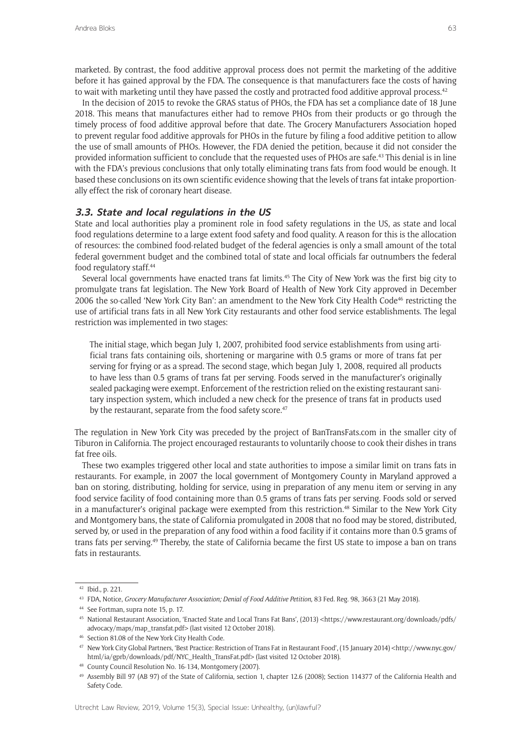marketed. By contrast, the food additive approval process does not permit the marketing of the additive before it has gained approval by the FDA. The consequence is that manufacturers face the costs of having to wait with marketing until they have passed the costly and protracted food additive approval process.<sup>42</sup>

In the decision of 2015 to revoke the GRAS status of PHOs, the FDA has set a compliance date of 18 June 2018. This means that manufactures either had to remove PHOs from their products or go through the timely process of food additive approval before that date. The Grocery Manufacturers Association hoped to prevent regular food additive approvals for PHOs in the future by filing a food additive petition to allow the use of small amounts of PHOs. However, the FDA denied the petition, because it did not consider the provided information sufficient to conclude that the requested uses of PHOs are safe.43 This denial is in line with the FDA's previous conclusions that only totally eliminating trans fats from food would be enough. It based these conclusions on its own scientific evidence showing that the levels of trans fat intake proportionally effect the risk of coronary heart disease.

# **3.3. State and local regulations in the US**

State and local authorities play a prominent role in food safety regulations in the US, as state and local food regulations determine to a large extent food safety and food quality. A reason for this is the allocation of resources: the combined food-related budget of the federal agencies is only a small amount of the total federal government budget and the combined total of state and local officials far outnumbers the federal food regulatory staff.44

Several local governments have enacted trans fat limits.45 The City of New York was the first big city to promulgate trans fat legislation. The New York Board of Health of New York City approved in December 2006 the so-called 'New York City Ban': an amendment to the New York City Health Code<sup>46</sup> restricting the use of artificial trans fats in all New York City restaurants and other food service establishments. The legal restriction was implemented in two stages:

The initial stage, which began July 1, 2007, prohibited food service establishments from using artificial trans fats containing oils, shortening or margarine with 0.5 grams or more of trans fat per serving for frying or as a spread. The second stage, which began July 1, 2008, required all products to have less than 0.5 grams of trans fat per serving. Foods served in the manufacturer's originally sealed packaging were exempt. Enforcement of the restriction relied on the existing restaurant sanitary inspection system, which included a new check for the presence of trans fat in products used by the restaurant, separate from the food safety score.<sup>47</sup>

The regulation in New York City was preceded by the project of BanTransFats.com in the smaller city of Tiburon in California. The project encouraged restaurants to voluntarily choose to cook their dishes in trans fat free oils.

These two examples triggered other local and state authorities to impose a similar limit on trans fats in restaurants. For example, in 2007 the local government of Montgomery County in Maryland approved a ban on storing, distributing, holding for service, using in preparation of any menu item or serving in any food service facility of food containing more than 0.5 grams of trans fats per serving. Foods sold or served in a manufacturer's original package were exempted from this restriction.<sup>48</sup> Similar to the New York City and Montgomery bans, the state of California promulgated in 2008 that no food may be stored, distributed, served by, or used in the preparation of any food within a food facility if it contains more than 0.5 grams of trans fats per serving.49 Thereby, the state of California became the first US state to impose a ban on trans fats in restaurants.

<sup>42</sup> Ibid., p. 221.

<sup>43</sup> FDA, Notice, *Grocery Manufacturer Association; Denial of Food Additive Petition*, 83 Fed. Reg. 98, 3663 (21 May 2018).

<sup>44</sup> See Fortman, supra note 15, p. 17.

<sup>45</sup> National Restaurant Association, 'Enacted State and Local Trans Fat Bans', (2013) <https://www.restaurant.org/downloads/pdfs/ advocacy/maps/map\_transfat.pdf> (last visited 12 October 2018).

<sup>46</sup> Section 81.08 of the New York City Health Code.

<sup>47</sup> New York City Global Partners, 'Best Practice: Restriction of Trans Fat in Restaurant Food', (15 January 2014) <http://www.nyc.gov/ html/ia/gprb/downloads/pdf/NYC\_Health\_TransFat.pdf> (last visited 12 October 2018).

<sup>48</sup> County Council Resolution No. 16-134, Montgomery (2007).

<sup>49</sup> Assembly Bill 97 (AB 97) of the State of California, section 1, chapter 12.6 (2008); Section 114377 of the California Health and Safety Code.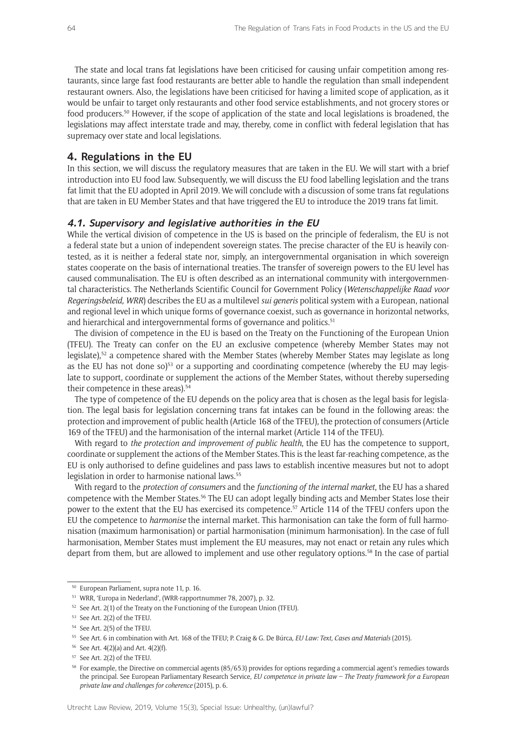The state and local trans fat legislations have been criticised for causing unfair competition among restaurants, since large fast food restaurants are better able to handle the regulation than small independent restaurant owners. Also, the legislations have been criticised for having a limited scope of application, as it would be unfair to target only restaurants and other food service establishments, and not grocery stores or food producers.<sup>50</sup> However, if the scope of application of the state and local legislations is broadened, the legislations may affect interstate trade and may, thereby, come in conflict with federal legislation that has supremacy over state and local legislations.

## **4. Regulations in the EU**

In this section, we will discuss the regulatory measures that are taken in the EU. We will start with a brief introduction into EU food law. Subsequently, we will discuss the EU food labelling legislation and the trans fat limit that the EU adopted in April 2019. We will conclude with a discussion of some trans fat regulations that are taken in EU Member States and that have triggered the EU to introduce the 2019 trans fat limit.

#### **4.1. Supervisory and legislative authorities in the EU**

While the vertical division of competence in the US is based on the principle of federalism, the EU is not a federal state but a union of independent sovereign states. The precise character of the EU is heavily contested, as it is neither a federal state nor, simply, an intergovernmental organisation in which sovereign states cooperate on the basis of international treaties. The transfer of sovereign powers to the EU level has caused communalisation. The EU is often described as an international community with intergovernmental characteristics. The Netherlands Scientific Council for Government Policy (*Wetenschappelijke Raad voor Regeringsbeleid, WRR*) describes the EU as a multilevel *sui generis* political system with a European, national and regional level in which unique forms of governance coexist, such as governance in horizontal networks, and hierarchical and intergovernmental forms of governance and politics.<sup>51</sup>

The division of competence in the EU is based on the Treaty on the Functioning of the European Union (TFEU). The Treaty can confer on the EU an exclusive competence (whereby Member States may not legislate),<sup>52</sup> a competence shared with the Member States (whereby Member States may legislate as long as the EU has not done so)<sup>53</sup> or a supporting and coordinating competence (whereby the EU may legislate to support, coordinate or supplement the actions of the Member States, without thereby superseding their competence in these areas).<sup>54</sup>

The type of competence of the EU depends on the policy area that is chosen as the legal basis for legislation. The legal basis for legislation concerning trans fat intakes can be found in the following areas: the protection and improvement of public health (Article 168 of the TFEU), the protection of consumers (Article 169 of the TFEU) and the harmonisation of the internal market (Article 114 of the TFEU).

With regard to *the protection and improvement of public health*, the EU has the competence to support, coordinate or supplement the actions of the Member States.This is the least far-reaching competence, as the EU is only authorised to define guidelines and pass laws to establish incentive measures but not to adopt legislation in order to harmonise national laws.<sup>55</sup>

With regard to the *protection of consumers* and the *functioning of the internal market*, the EU has a shared competence with the Member States.<sup>56</sup> The EU can adopt legally binding acts and Member States lose their power to the extent that the EU has exercised its competence.57 Article 114 of the TFEU confers upon the EU the competence to *harmonise* the internal market. This harmonisation can take the form of full harmonisation (maximum harmonisation) or partial harmonisation (minimum harmonisation). In the case of full harmonisation, Member States must implement the EU measures, may not enact or retain any rules which depart from them, but are allowed to implement and use other regulatory options.58 In the case of partial

<sup>50</sup> European Parliament, supra note 11, p. 16.

<sup>51</sup> WRR, 'Europa in Nederland', (WRR-rapportnummer 78, 2007), p. 32.

<sup>&</sup>lt;sup>52</sup> See Art. 2(1) of the Treaty on the Functioning of the European Union (TFEU).

<sup>53</sup> See Art. 2(2) of the TFEU.

<sup>54</sup> See Art. 2(5) of the TFEU.

<sup>55</sup> See Art. 6 in combination with Art. 168 of the TFEU; P. Craig & G. De Búrca, *EU Law: Text, Cases and Materials* (2015).

<sup>56</sup> See Art. 4(2)(a) and Art. 4(2)(f).

<sup>57</sup> See Art. 2(2) of the TFEU.

<sup>58</sup> For example, the Directive on commercial agents (85/653) provides for options regarding a commercial agent's remedies towards the principal. See European Parliamentary Research Service, *EU competence in private law – The Treaty framework for a European private law and challenges for coherence* (2015), p. 6.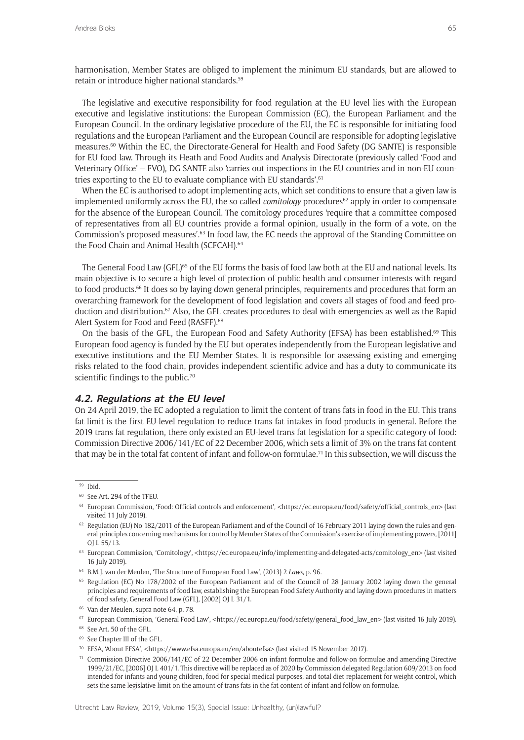harmonisation, Member States are obliged to implement the minimum EU standards, but are allowed to retain or introduce higher national standards.<sup>59</sup>

The legislative and executive responsibility for food regulation at the EU level lies with the European executive and legislative institutions: the European Commission (EC), the European Parliament and the European Council. In the ordinary legislative procedure of the EU, the EC is responsible for initiating food regulations and the European Parliament and the European Council are responsible for adopting legislative measures.60 Within the EC, the Directorate-General for Health and Food Safety (DG SANTE) is responsible for EU food law. Through its Heath and Food Audits and Analysis Directorate (previously called 'Food and Veterinary Office' – FVO), DG SANTE also 'carries out inspections in the EU countries and in non-EU countries exporting to the EU to evaluate compliance with EU standards'.<sup>61</sup>

When the EC is authorised to adopt implementing acts, which set conditions to ensure that a given law is implemented uniformly across the EU, the so-called *comitology* procedures<sup>62</sup> apply in order to compensate for the absence of the European Council. The comitology procedures 'require that a committee composed of representatives from all EU countries provide a formal opinion, usually in the form of a vote, on the Commission's proposed measures'.<sup>63</sup> In food law, the EC needs the approval of the Standing Committee on the Food Chain and Animal Health (SCFCAH).<sup>64</sup>

The General Food Law (GFL)<sup>65</sup> of the EU forms the basis of food law both at the EU and national levels. Its main objective is to secure a high level of protection of public health and consumer interests with regard to food products.<sup>66</sup> It does so by laying down general principles, requirements and procedures that form an overarching framework for the development of food legislation and covers all stages of food and feed production and distribution.<sup>67</sup> Also, the GFL creates procedures to deal with emergencies as well as the Rapid Alert System for Food and Feed (RASFF).<sup>68</sup>

On the basis of the GFL, the European Food and Safety Authority (EFSA) has been established.<sup>69</sup> This European food agency is funded by the EU but operates independently from the European legislative and executive institutions and the EU Member States. It is responsible for assessing existing and emerging risks related to the food chain, provides independent scientific advice and has a duty to communicate its scientific findings to the public.<sup>70</sup>

## **4.2. Regulations at the EU level**

On 24 April 2019, the EC adopted a regulation to limit the content of trans fats in food in the EU. This trans fat limit is the first EU-level regulation to reduce trans fat intakes in food products in general. Before the 2019 trans fat regulation, there only existed an EU-level trans fat legislation for a specific category of food: Commission Directive 2006/141/EC of 22 December 2006, which sets a limit of 3% on the trans fat content that may be in the total fat content of infant and follow-on formulae.<sup>71</sup> In this subsection, we will discuss the

<sup>69</sup> See Chapter III of the GFL.

<sup>59</sup> Ibid.

<sup>60</sup> See Art. 294 of the TFEU.

<sup>61</sup> European Commission, 'Food: Official controls and enforcement', <https://ec.europa.eu/food/safety/official\_controls\_en> (last visited 11 July 2019).

 $62$  Regulation (EU) No 182/2011 of the European Parliament and of the Council of 16 February 2011 laying down the rules and general principles concerning mechanisms for control by Member States of the Commission's exercise of implementing powers, [2011] OLL 55/13.

<sup>63</sup> European Commission, 'Comitology', <https://ec.europa.eu/info/implementing-and-delegated-acts/comitology\_en> (last visited 16 July 2019).

<sup>64</sup> B.M.J. van der Meulen, 'The Structure of European Food Law', (2013) 2 *Laws*, p. 96.

<sup>65</sup> Regulation (EC) No 178/2002 of the European Parliament and of the Council of 28 January 2002 laying down the general principles and requirements of food law, establishing the European Food Safety Authority and laying down procedures in matters of food safety, General Food Law (GFL), [2002] OJ L 31/1.

<sup>66</sup> Van der Meulen, supra note 64, p. 78.

<sup>67</sup> European Commission, 'General Food Law', <https://ec.europa.eu/food/safety/general\_food\_law\_en> (last visited 16 July 2019).

<sup>68</sup> See Art. 50 of the GFL.

<sup>70</sup> EFSA, 'About EFSA', <https://www.efsa.europa.eu/en/aboutefsa> (last visited 15 November 2017).

<sup>71</sup> Commission Directive 2006/141/EC of 22 December 2006 on infant formulae and follow-on formulae and amending Directive 1999/21/EC, [2006] OJ L 401/1. This directive will be replaced as of 2020 by Commission delegated Regulation 609/2013 on food intended for infants and young children, food for special medical purposes, and total diet replacement for weight control, which sets the same legislative limit on the amount of trans fats in the fat content of infant and follow-on formulae.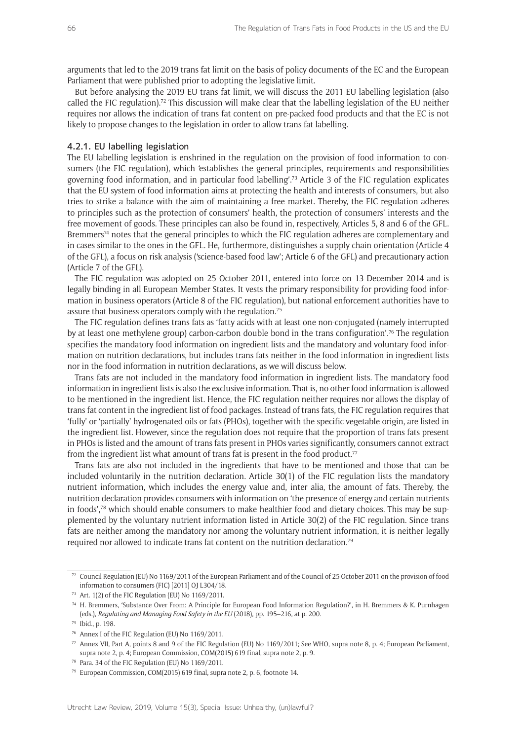arguments that led to the 2019 trans fat limit on the basis of policy documents of the EC and the European Parliament that were published prior to adopting the legislative limit.

But before analysing the 2019 EU trans fat limit, we will discuss the 2011 EU labelling legislation (also called the FIC regulation).<sup>72</sup> This discussion will make clear that the labelling legislation of the EU neither requires nor allows the indication of trans fat content on pre-packed food products and that the EC is not likely to propose changes to the legislation in order to allow trans fat labelling.

#### 4.2.1. EU labelling legislation

The EU labelling legislation is enshrined in the regulation on the provision of food information to consumers (the FIC regulation), which 'establishes the general principles, requirements and responsibilities governing food information, and in particular food labelling'.73 Article 3 of the FIC regulation explicates that the EU system of food information aims at protecting the health and interests of consumers, but also tries to strike a balance with the aim of maintaining a free market. Thereby, the FIC regulation adheres to principles such as the protection of consumers' health, the protection of consumers' interests and the free movement of goods. These principles can also be found in, respectively, Articles 5, 8 and 6 of the GFL. Bremmers<sup>74</sup> notes that the general principles to which the FIC regulation adheres are complementary and in cases similar to the ones in the GFL. He, furthermore, distinguishes a supply chain orientation (Article 4 of the GFL), a focus on risk analysis ('science-based food law'; Article 6 of the GFL) and precautionary action (Article 7 of the GFL).

The FIC regulation was adopted on 25 October 2011, entered into force on 13 December 2014 and is legally binding in all European Member States. It vests the primary responsibility for providing food information in business operators (Article 8 of the FIC regulation), but national enforcement authorities have to assure that business operators comply with the regulation.75

The FIC regulation defines trans fats as 'fatty acids with at least one non-conjugated (namely interrupted by at least one methylene group) carbon-carbon double bond in the trans configuration'.76 The regulation specifies the mandatory food information on ingredient lists and the mandatory and voluntary food information on nutrition declarations, but includes trans fats neither in the food information in ingredient lists nor in the food information in nutrition declarations, as we will discuss below.

Trans fats are not included in the mandatory food information in ingredient lists. The mandatory food information in ingredient lists is also the exclusive information. That is, no other food information is allowed to be mentioned in the ingredient list. Hence, the FIC regulation neither requires nor allows the display of trans fat content in the ingredient list of food packages. Instead of trans fats, the FIC regulation requires that 'fully' or 'partially' hydrogenated oils or fats (PHOs), together with the specific vegetable origin, are listed in the ingredient list. However, since the regulation does not require that the proportion of trans fats present in PHOs is listed and the amount of trans fats present in PHOs varies significantly, consumers cannot extract from the ingredient list what amount of trans fat is present in the food product.<sup>77</sup>

Trans fats are also not included in the ingredients that have to be mentioned and those that can be included voluntarily in the nutrition declaration. Article 30(1) of the FIC regulation lists the mandatory nutrient information, which includes the energy value and, inter alia, the amount of fats. Thereby, the nutrition declaration provides consumers with information on 'the presence of energy and certain nutrients in foods',<sup>78</sup> which should enable consumers to make healthier food and dietary choices. This may be supplemented by the voluntary nutrient information listed in Article 30(2) of the FIC regulation. Since trans fats are neither among the mandatory nor among the voluntary nutrient information, it is neither legally required nor allowed to indicate trans fat content on the nutrition declaration.79

<sup>72</sup> Council Regulation (EU) No 1169/2011 of the European Parliament and of the Council of 25 October 2011 on the provision of food information to consumers (FIC) [2011] OJ L304/18.

<sup>73</sup> Art. 1(2) of the FIC Regulation (EU) No 1169/2011.

<sup>74</sup> H. Bremmers, 'Substance Over From: A Principle for European Food Information Regulation?', in H. Bremmers & K. Purnhagen (eds.), *Regulating and Managing Food Safety in the EU* (2018), pp. 195–216, at p. 200.

<sup>75</sup> Ibid., p. 198.

<sup>76</sup> Annex I of the FIC Regulation (EU) No 1169/2011.

<sup>77</sup> Annex VII, Part A, points 8 and 9 of the FIC Regulation (EU) No 1169/2011; See WHO, supra note 8, p. 4; European Parliament, supra note 2, p. 4; European Commission, COM(2015) 619 final, supra note 2, p. 9.

<sup>78</sup> Para. 34 of the FIC Regulation (EU) No 1169/2011.

<sup>79</sup> European Commission, COM(2015) 619 final, supra note 2, p. 6, footnote 14.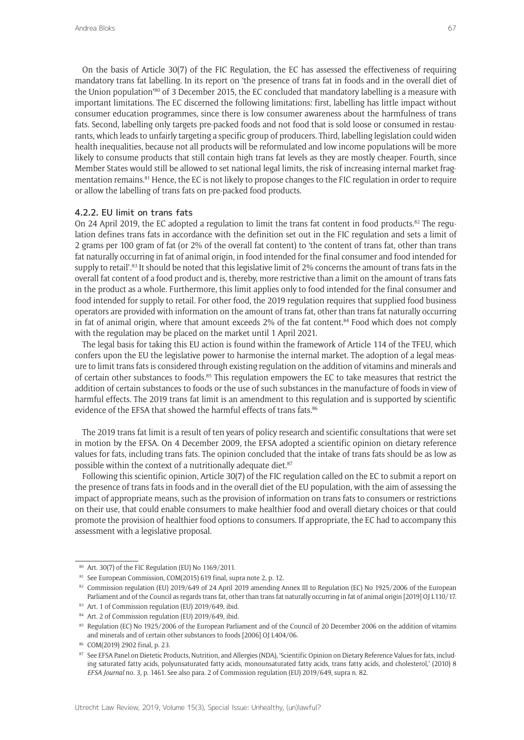On the basis of Article 30(7) of the FIC Regulation, the EC has assessed the effectiveness of requiring mandatory trans fat labelling. In its report on 'the presence of trans fat in foods and in the overall diet of the Union population'<sup>80</sup> of 3 December 2015, the EC concluded that mandatory labelling is a measure with important limitations. The EC discerned the following limitations: first, labelling has little impact without consumer education programmes, since there is low consumer awareness about the harmfulness of trans fats. Second, labelling only targets pre-packed foods and not food that is sold loose or consumed in restaurants, which leads to unfairly targeting a specific group of producers. Third, labelling legislation could widen health inequalities, because not all products will be reformulated and low income populations will be more likely to consume products that still contain high trans fat levels as they are mostly cheaper. Fourth, since Member States would still be allowed to set national legal limits, the risk of increasing internal market fragmentation remains.81 Hence, the EC is not likely to propose changes to the FIC regulation in order to require or allow the labelling of trans fats on pre-packed food products.

### 4.2.2. EU limit on trans fats

On 24 April 2019, the EC adopted a regulation to limit the trans fat content in food products.<sup>82</sup> The regulation defines trans fats in accordance with the definition set out in the FIC regulation and sets a limit of 2 grams per 100 gram of fat (or 2% of the overall fat content) to 'the content of trans fat, other than trans fat naturally occurring in fat of animal origin, in food intended for the final consumer and food intended for supply to retail'.<sup>83</sup> It should be noted that this legislative limit of 2% concerns the amount of trans fats in the overall fat content of a food product and is, thereby, more restrictive than a limit on the amount of trans fats in the product as a whole. Furthermore, this limit applies only to food intended for the final consumer and food intended for supply to retail. For other food, the 2019 regulation requires that supplied food business operators are provided with information on the amount of trans fat, other than trans fat naturally occurring in fat of animal origin, where that amount exceeds 2% of the fat content.<sup>84</sup> Food which does not comply with the regulation may be placed on the market until 1 April 2021.

The legal basis for taking this EU action is found within the framework of Article 114 of the TFEU, which confers upon the EU the legislative power to harmonise the internal market. The adoption of a legal measure to limit trans fats is considered through existing regulation on the addition of vitamins and minerals and of certain other substances to foods.85 This regulation empowers the EC to take measures that restrict the addition of certain substances to foods or the use of such substances in the manufacture of foods in view of harmful effects. The 2019 trans fat limit is an amendment to this regulation and is supported by scientific evidence of the EFSA that showed the harmful effects of trans fats.<sup>86</sup>

The 2019 trans fat limit is a result of ten years of policy research and scientific consultations that were set in motion by the EFSA. On 4 December 2009, the EFSA adopted a scientific opinion on dietary reference values for fats, including trans fats. The opinion concluded that the intake of trans fats should be as low as possible within the context of a nutritionally adequate diet.<sup>87</sup>

Following this scientific opinion, Article 30(7) of the FIC regulation called on the EC to submit a report on the presence of trans fats in foods and in the overall diet of the EU population, with the aim of assessing the impact of appropriate means, such as the provision of information on trans fats to consumers or restrictions on their use, that could enable consumers to make healthier food and overall dietary choices or that could promote the provision of healthier food options to consumers. If appropriate, the EC had to accompany this assessment with a legislative proposal.

<sup>80</sup> Art. 30(7) of the FIC Regulation (EU) No 1169/2011.

<sup>81</sup> See European Commission, COM(2015) 619 final, supra note 2, p. 12.

<sup>82</sup> Commission regulation (EU) 2019/649 of 24 April 2019 amending Annex III to Regulation (EC) No 1925/2006 of the European Parliament and of the Council as regards trans fat, other than trans fat naturally occurring in fat of animal origin [2019] OJ L110/17.

<sup>83</sup> Art. 1 of Commission regulation (EU) 2019/649, ibid.

<sup>84</sup> Art. 2 of Commission regulation (EU) 2019/649, ibid.

<sup>85</sup> Regulation (EC) No 1925/2006 of the European Parliament and of the Council of 20 December 2006 on the addition of vitamins and minerals and of certain other substances to foods [2006] OJ L404/06.

<sup>86</sup> COM(2019) 2902 final, p. 23.

<sup>87</sup> See EFSA Panel on Dietetic Products, Nutrition, and Allergies (NDA), 'Scientific Opinion on Dietary Reference Values for fats, including saturated fatty acids, polyunsaturated fatty acids, monounsaturated fatty acids, trans fatty acids, and cholesterol,' (2010) 8 *EFSA Journal* no. 3, p. 1461. See also para. 2 of Commission regulation (EU) 2019/649, supra n. 82.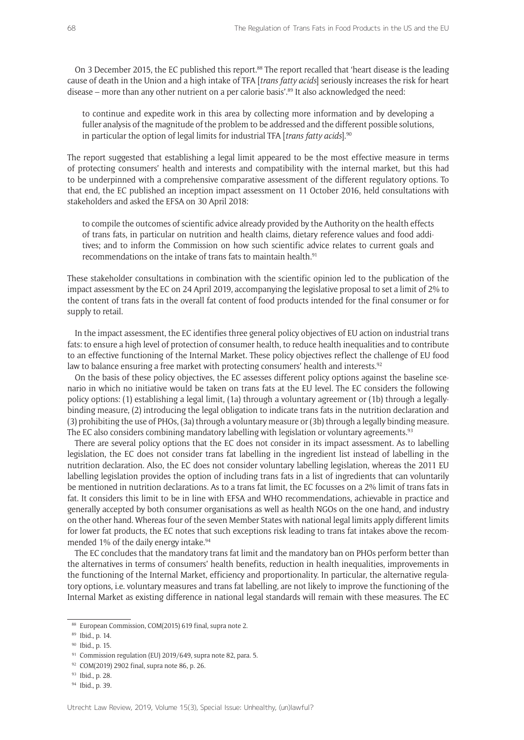On 3 December 2015, the EC published this report.<sup>88</sup> The report recalled that 'heart disease is the leading cause of death in the Union and a high intake of TFA [*trans fatty acids*] seriously increases the risk for heart disease – more than any other nutrient on a per calorie basis'.<sup>89</sup> It also acknowledged the need:

to continue and expedite work in this area by collecting more information and by developing a fuller analysis of the magnitude of the problem to be addressed and the different possible solutions, in particular the option of legal limits for industrial TFA [*trans fatty acids*].90

The report suggested that establishing a legal limit appeared to be the most effective measure in terms of protecting consumers' health and interests and compatibility with the internal market, but this had to be underpinned with a comprehensive comparative assessment of the different regulatory options. To that end, the EC published an inception impact assessment on 11 October 2016, held consultations with stakeholders and asked the EFSA on 30 April 2018:

to compile the outcomes of scientific advice already provided by the Authority on the health effects of trans fats, in particular on nutrition and health claims, dietary reference values and food additives; and to inform the Commission on how such scientific advice relates to current goals and recommendations on the intake of trans fats to maintain health.<sup>91</sup>

These stakeholder consultations in combination with the scientific opinion led to the publication of the impact assessment by the EC on 24 April 2019, accompanying the legislative proposal to set a limit of 2% to the content of trans fats in the overall fat content of food products intended for the final consumer or for supply to retail.

In the impact assessment, the EC identifies three general policy objectives of EU action on industrial trans fats: to ensure a high level of protection of consumer health, to reduce health inequalities and to contribute to an effective functioning of the Internal Market. These policy objectives reflect the challenge of EU food law to balance ensuring a free market with protecting consumers' health and interests.<sup>92</sup>

On the basis of these policy objectives, the EC assesses different policy options against the baseline scenario in which no initiative would be taken on trans fats at the EU level. The EC considers the following policy options: (1) establishing a legal limit, (1a) through a voluntary agreement or (1b) through a legallybinding measure, (2) introducing the legal obligation to indicate trans fats in the nutrition declaration and (3) prohibiting the use of PHOs, (3a) through a voluntary measure or (3b) through a legally binding measure. The EC also considers combining mandatory labelling with legislation or voluntary agreements.<sup>93</sup>

There are several policy options that the EC does not consider in its impact assessment. As to labelling legislation, the EC does not consider trans fat labelling in the ingredient list instead of labelling in the nutrition declaration. Also, the EC does not consider voluntary labelling legislation, whereas the 2011 EU labelling legislation provides the option of including trans fats in a list of ingredients that can voluntarily be mentioned in nutrition declarations. As to a trans fat limit, the EC focusses on a 2% limit of trans fats in fat. It considers this limit to be in line with EFSA and WHO recommendations, achievable in practice and generally accepted by both consumer organisations as well as health NGOs on the one hand, and industry on the other hand. Whereas four of the seven Member States with national legal limits apply different limits for lower fat products, the EC notes that such exceptions risk leading to trans fat intakes above the recommended 1% of the daily energy intake.<sup>94</sup>

The EC concludes that the mandatory trans fat limit and the mandatory ban on PHOs perform better than the alternatives in terms of consumers' health benefits, reduction in health inequalities, improvements in the functioning of the Internal Market, efficiency and proportionality. In particular, the alternative regulatory options, i.e. voluntary measures and trans fat labelling, are not likely to improve the functioning of the Internal Market as existing difference in national legal standards will remain with these measures. The EC

<sup>88</sup> European Commission, COM(2015) 619 final, supra note 2.

<sup>89</sup> Ibid., p. 14.

<sup>90</sup> Ibid., p. 15.

<sup>&</sup>lt;sup>91</sup> Commission regulation (EU) 2019/649, supra note 82, para. 5.

<sup>92</sup> COM(2019) 2902 final, supra note 86, p. 26.

<sup>93</sup> Ibid., p. 28.

<sup>94</sup> Ibid., p. 39.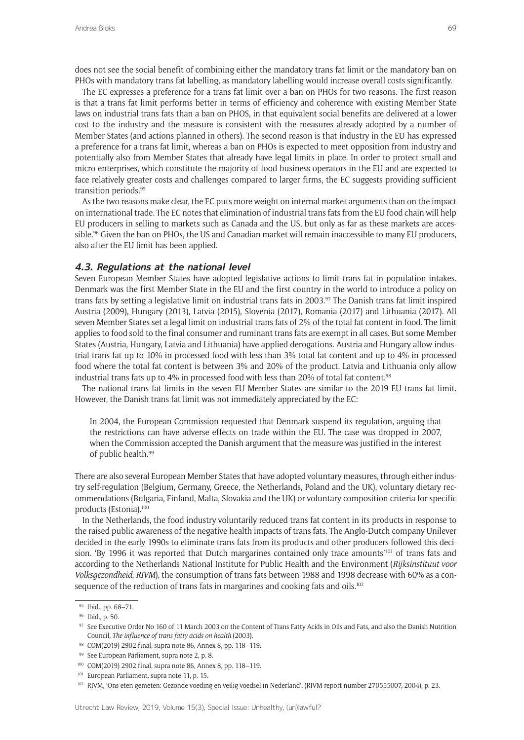does not see the social benefit of combining either the mandatory trans fat limit or the mandatory ban on PHOs with mandatory trans fat labelling, as mandatory labelling would increase overall costs significantly.

The EC expresses a preference for a trans fat limit over a ban on PHOs for two reasons. The first reason is that a trans fat limit performs better in terms of efficiency and coherence with existing Member State laws on industrial trans fats than a ban on PHOS, in that equivalent social benefits are delivered at a lower cost to the industry and the measure is consistent with the measures already adopted by a number of Member States (and actions planned in others). The second reason is that industry in the EU has expressed a preference for a trans fat limit, whereas a ban on PHOs is expected to meet opposition from industry and potentially also from Member States that already have legal limits in place. In order to protect small and micro enterprises, which constitute the majority of food business operators in the EU and are expected to face relatively greater costs and challenges compared to larger firms, the EC suggests providing sufficient transition periods.95

As the two reasons make clear, the EC puts more weight on internal market arguments than on the impact on international trade. The EC notes that elimination of industrial trans fats from the EU food chain will help EU producers in selling to markets such as Canada and the US, but only as far as these markets are accessible.<sup>96</sup> Given the ban on PHOs, the US and Canadian market will remain inaccessible to many EU producers, also after the EU limit has been applied.

#### **4.3. Regulations at the national level**

Seven European Member States have adopted legislative actions to limit trans fat in population intakes. Denmark was the first Member State in the EU and the first country in the world to introduce a policy on trans fats by setting a legislative limit on industrial trans fats in 2003.97 The Danish trans fat limit inspired Austria (2009), Hungary (2013), Latvia (2015), Slovenia (2017), Romania (2017) and Lithuania (2017). All seven Member States set a legal limit on industrial trans fats of 2% of the total fat content in food. The limit applies to food sold to the final consumer and ruminant trans fats are exempt in all cases. But some Member States (Austria, Hungary, Latvia and Lithuania) have applied derogations. Austria and Hungary allow industrial trans fat up to 10% in processed food with less than 3% total fat content and up to 4% in processed food where the total fat content is between 3% and 20% of the product. Latvia and Lithuania only allow industrial trans fats up to 4% in processed food with less than 20% of total fat content.<sup>98</sup>

The national trans fat limits in the seven EU Member States are similar to the 2019 EU trans fat limit. However, the Danish trans fat limit was not immediately appreciated by the EC:

In 2004, the European Commission requested that Denmark suspend its regulation, arguing that the restrictions can have adverse effects on trade within the EU. The case was dropped in 2007, when the Commission accepted the Danish argument that the measure was justified in the interest of public health.<sup>99</sup>

There are also several European Member States that have adopted voluntary measures, through either industry self-regulation (Belgium, Germany, Greece, the Netherlands, Poland and the UK), voluntary dietary recommendations (Bulgaria, Finland, Malta, Slovakia and the UK) or voluntary composition criteria for specific products (Estonia).100

In the Netherlands, the food industry voluntarily reduced trans fat content in its products in response to the raised public awareness of the negative health impacts of trans fats. The Anglo-Dutch company Unilever decided in the early 1990s to eliminate trans fats from its products and other producers followed this decision. 'By 1996 it was reported that Dutch margarines contained only trace amounts'<sup>101</sup> of trans fats and according to the Netherlands National Institute for Public Health and the Environment (*Rijksinstituut voor Volksgezondheid*, *RIVM*), the consumption of trans fats between 1988 and 1998 decrease with 60% as a consequence of the reduction of trans fats in margarines and cooking fats and oils.<sup>102</sup>

<sup>95</sup> Ibid., pp. 68–71.

<sup>96</sup> Ibid., p. 50.

<sup>97</sup> See Executive Order No 160 of 11 March 2003 on the Content of Trans Fatty Acids in Oils and Fats, and also the Danish Nutrition Council, *The influence of trans fatty acids on health* (2003).

<sup>98</sup> COM(2019) 2902 final, supra note 86, Annex 8, pp. 118–119.

<sup>99</sup> See European Parliament, supra note 2, p. 8.

<sup>100</sup> COM(2019) 2902 final, supra note 86, Annex 8, pp. 118–119.

<sup>&</sup>lt;sup>101</sup> European Parliament, supra note 11, p. 15.

<sup>102</sup> RIVM, 'Ons eten gemeten: Gezonde voeding en veilig voedsel in Nederland', (RIVM-report number 270555007, 2004), p. 23.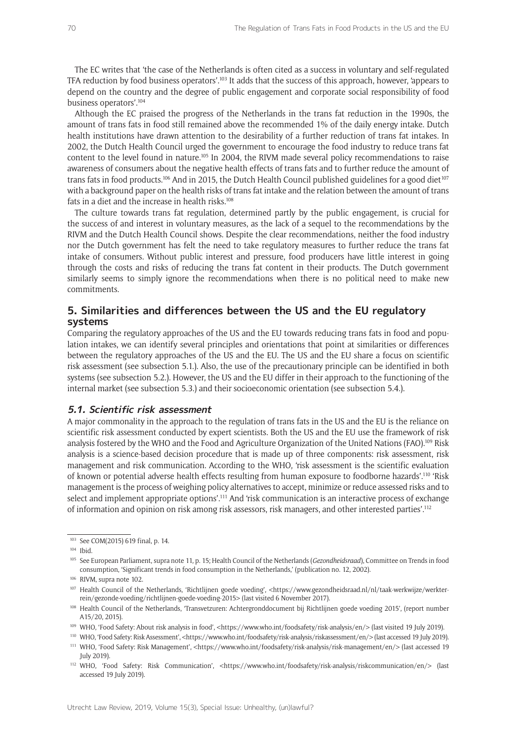The EC writes that 'the case of the Netherlands is often cited as a success in voluntary and self-regulated TFA reduction by food business operators'.103 It adds that the success of this approach, however, 'appears to depend on the country and the degree of public engagement and corporate social responsibility of food business operators'.104

Although the EC praised the progress of the Netherlands in the trans fat reduction in the 1990s, the amount of trans fats in food still remained above the recommended 1% of the daily energy intake. Dutch health institutions have drawn attention to the desirability of a further reduction of trans fat intakes. In 2002, the Dutch Health Council urged the government to encourage the food industry to reduce trans fat content to the level found in nature.105 In 2004, the RIVM made several policy recommendations to raise awareness of consumers about the negative health effects of trans fats and to further reduce the amount of trans fats in food products.<sup>106</sup> And in 2015, the Dutch Health Council published guidelines for a good diet<sup>107</sup> with a background paper on the health risks of trans fat intake and the relation between the amount of trans fats in a diet and the increase in health risks.<sup>108</sup>

The culture towards trans fat regulation, determined partly by the public engagement, is crucial for the success of and interest in voluntary measures, as the lack of a sequel to the recommendations by the RIVM and the Dutch Health Council shows. Despite the clear recommendations, neither the food industry nor the Dutch government has felt the need to take regulatory measures to further reduce the trans fat intake of consumers. Without public interest and pressure, food producers have little interest in going through the costs and risks of reducing the trans fat content in their products. The Dutch government similarly seems to simply ignore the recommendations when there is no political need to make new commitments.

# **5. Similarities and differences between the US and the EU regulatory systems**

Comparing the regulatory approaches of the US and the EU towards reducing trans fats in food and population intakes, we can identify several principles and orientations that point at similarities or differences between the regulatory approaches of the US and the EU. The US and the EU share a focus on scientific risk assessment (see subsection 5.1.). Also, the use of the precautionary principle can be identified in both systems (see subsection 5.2.). However, the US and the EU differ in their approach to the functioning of the internal market (see subsection 5.3.) and their socioeconomic orientation (see subsection 5.4.).

#### **5.1. Scientific risk assessment**

A major commonality in the approach to the regulation of trans fats in the US and the EU is the reliance on scientific risk assessment conducted by expert scientists. Both the US and the EU use the framework of risk analysis fostered by the WHO and the Food and Agriculture Organization of the United Nations (FAO).109 Risk analysis is a science-based decision procedure that is made up of three components: risk assessment, risk management and risk communication. According to the WHO, 'risk assessment is the scientific evaluation of known or potential adverse health effects resulting from human exposure to foodborne hazards'.110 'Risk management is the process of weighing policy alternatives to accept, minimize or reduce assessed risks and to select and implement appropriate options'.111 And 'risk communication is an interactive process of exchange of information and opinion on risk among risk assessors, risk managers, and other interested parties'.112

<sup>103</sup> See COM(2015) 619 final, p. 14.

<sup>&</sup>lt;sup>104</sup> Ibid.

<sup>105</sup> See European Parliament, supra note 11, p. 15; Health Council of the Netherlands (*Gezondheidsraad*), Committee on Trends in food consumption, 'Significant trends in food consumption in the Netherlands,' (publication no. 12, 2002).

<sup>106</sup> RIVM, supra note 102.

<sup>&</sup>lt;sup>107</sup> Health Council of the Netherlands, 'Richtlijnen goede voeding', <https://www.gezondheidsraad.nl/nl/taak-werkwijze/werkterrein/gezonde-voeding/richtlijnen-goede-voeding-2015> (last visited 6 November 2017).

<sup>108</sup> Health Council of the Netherlands, 'Transvetzuren: Achtergronddocument bij Richtlijnen goede voeding 2015', (report number A15/20, 2015).

<sup>&</sup>lt;sup>109</sup> WHO, 'Food Safety: About risk analysis in food', <https://www.who.int/foodsafety/risk-analysis/en/> (last visited 19 July 2019).

<sup>110</sup> WHO, 'Food Safety: Risk Assessment', <https://www.who.int/foodsafety/risk-analysis/riskassessment/en/> (last accessed 19 July 2019). <sup>111</sup> WHO, 'Food Safety: Risk Management', <https://www.who.int/foodsafety/risk-analysis/risk-management/en/> (last accessed 19 July 2019).

<sup>&</sup>lt;sup>112</sup> WHO, 'Food Safety: Risk Communication', <https://www.who.int/foodsafety/risk-analysis/riskcommunication/en/> (last accessed 19 July 2019).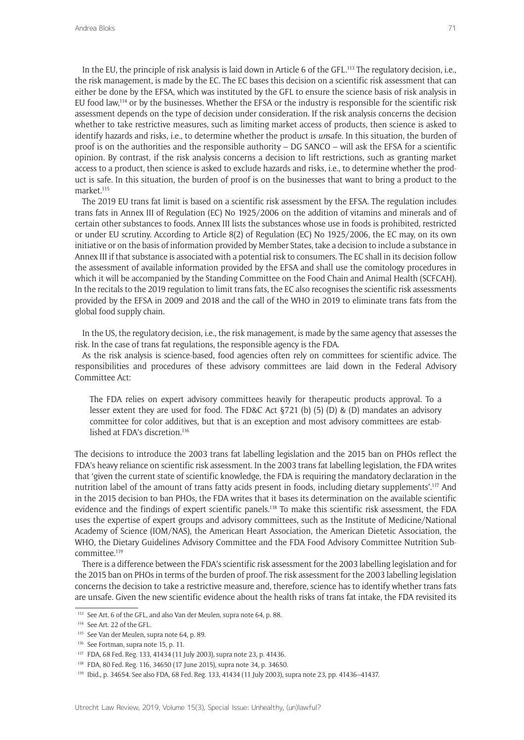In the EU, the principle of risk analysis is laid down in Article 6 of the GFL.113 The regulatory decision, i.e., the risk management, is made by the EC. The EC bases this decision on a scientific risk assessment that can either be done by the EFSA, which was instituted by the GFL to ensure the science basis of risk analysis in EU food law,114 or by the businesses. Whether the EFSA or the industry is responsible for the scientific risk assessment depends on the type of decision under consideration. If the risk analysis concerns the decision whether to take restrictive measures, such as limiting market access of products, then science is asked to identify hazards and risks, i.e., to determine whether the product is *un*safe. In this situation, the burden of proof is on the authorities and the responsible authority – DG SANCO – will ask the EFSA for a scientific opinion. By contrast, if the risk analysis concerns a decision to lift restrictions, such as granting market access to a product, then science is asked to exclude hazards and risks, i.e., to determine whether the product is safe. In this situation, the burden of proof is on the businesses that want to bring a product to the market<sup>115</sup>

The 2019 EU trans fat limit is based on a scientific risk assessment by the EFSA. The regulation includes trans fats in Annex III of Regulation (EC) No 1925/2006 on the addition of vitamins and minerals and of certain other substances to foods. Annex III lists the substances whose use in foods is prohibited, restricted or under EU scrutiny. According to Article 8(2) of Regulation (EC) No 1925/2006, the EC may, on its own initiative or on the basis of information provided by Member States, take a decision to include a substance in Annex III if that substance is associated with a potential risk to consumers. The EC shall in its decision follow the assessment of available information provided by the EFSA and shall use the comitology procedures in which it will be accompanied by the Standing Committee on the Food Chain and Animal Health (SCFCAH). In the recitals to the 2019 regulation to limit trans fats, the EC also recognises the scientific risk assessments provided by the EFSA in 2009 and 2018 and the call of the WHO in 2019 to eliminate trans fats from the global food supply chain.

In the US, the regulatory decision, i.e., the risk management, is made by the same agency that assesses the risk. In the case of trans fat regulations, the responsible agency is the FDA.

As the risk analysis is science-based, food agencies often rely on committees for scientific advice. The responsibilities and procedures of these advisory committees are laid down in the Federal Advisory Committee Act:

The FDA relies on expert advisory committees heavily for therapeutic products approval. To a lesser extent they are used for food. The FD&C Act §721 (b) (5) (D) & (D) mandates an advisory committee for color additives, but that is an exception and most advisory committees are established at FDA's discretion.116

The decisions to introduce the 2003 trans fat labelling legislation and the 2015 ban on PHOs reflect the FDA's heavy reliance on scientific risk assessment. In the 2003 trans fat labelling legislation, the FDA writes that 'given the current state of scientific knowledge, the FDA is requiring the mandatory declaration in the nutrition label of the amount of trans fatty acids present in foods, including dietary supplements'.117 And in the 2015 decision to ban PHOs, the FDA writes that it bases its determination on the available scientific evidence and the findings of expert scientific panels.118 To make this scientific risk assessment, the FDA uses the expertise of expert groups and advisory committees, such as the Institute of Medicine/National Academy of Science (IOM/NAS), the American Heart Association, the American Dietetic Association, the WHO, the Dietary Guidelines Advisory Committee and the FDA Food Advisory Committee Nutrition Subcommittee.119

There is a difference between the FDA's scientific risk assessment for the 2003 labelling legislation and for the 2015 ban on PHOs in terms of the burden of proof. The risk assessment for the 2003 labelling legislation concerns the decision to take a restrictive measure and, therefore, science has to identify whether trans fats are unsafe. Given the new scientific evidence about the health risks of trans fat intake, the FDA revisited its

<sup>&</sup>lt;sup>113</sup> See Art. 6 of the GFL, and also Van der Meulen, supra note 64, p. 88.

<sup>114</sup> See Art. 22 of the GFL.

<sup>115</sup> See Van der Meulen, supra note 64, p. 89.

<sup>116</sup> See Fortman, supra note 15, p. 11.

<sup>117</sup> FDA, 68 Fed. Reg. 133, 41434 (11 July 2003), supra note 23, p. 41436.

<sup>118</sup> FDA, 80 Fed. Reg. 116, 34650 (17 June 2015), supra note 34, p. 34650.

<sup>119</sup> Ibid., p. 34654. See also FDA, 68 Fed. Reg. 133, 41434 (11 July 2003), supra note 23, pp. 41436–41437.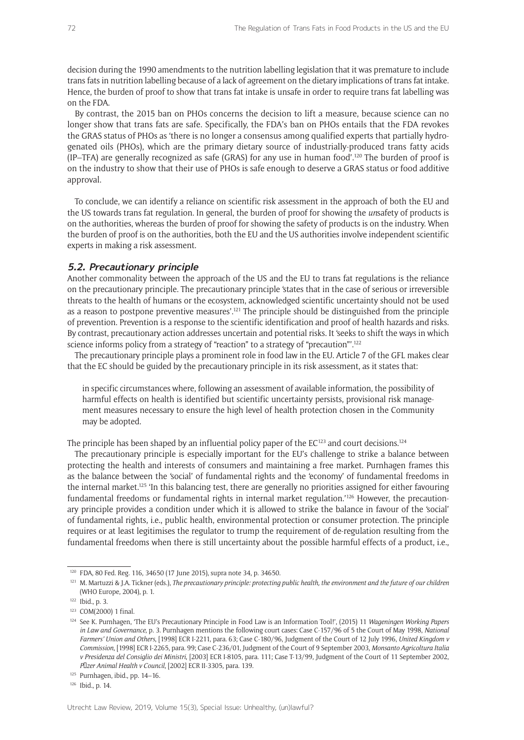decision during the 1990 amendments to the nutrition labelling legislation that it was premature to include trans fats in nutrition labelling because of a lack of agreement on the dietary implications of trans fat intake. Hence, the burden of proof to show that trans fat intake is unsafe in order to require trans fat labelling was on the FDA.

By contrast, the 2015 ban on PHOs concerns the decision to lift a measure, because science can no longer show that trans fats are safe. Specifically, the FDA's ban on PHOs entails that the FDA revokes the GRAS status of PHOs as 'there is no longer a consensus among qualified experts that partially hydrogenated oils (PHOs), which are the primary dietary source of industrially-produced trans fatty acids (IP–TFA) are generally recognized as safe (GRAS) for any use in human food'.<sup>120</sup> The burden of proof is on the industry to show that their use of PHOs is safe enough to deserve a GRAS status or food additive approval.

To conclude, we can identify a reliance on scientific risk assessment in the approach of both the EU and the US towards trans fat regulation. In general, the burden of proof for showing the *un*safety of products is on the authorities, whereas the burden of proof for showing the safety of products is on the industry. When the burden of proof is on the authorities, both the EU and the US authorities involve independent scientific experts in making a risk assessment.

### **5.2. Precautionary principle**

Another commonality between the approach of the US and the EU to trans fat regulations is the reliance on the precautionary principle. The precautionary principle 'states that in the case of serious or irreversible threats to the health of humans or the ecosystem, acknowledged scientific uncertainty should not be used as a reason to postpone preventive measures'.121 The principle should be distinguished from the principle of prevention. Prevention is a response to the scientific identification and proof of health hazards and risks. By contrast, precautionary action addresses uncertain and potential risks. It 'seeks to shift the ways in which science informs policy from a strategy of "reaction" to a strategy of "precaution"'.<sup>122</sup>

The precautionary principle plays a prominent role in food law in the EU. Article 7 of the GFL makes clear that the EC should be guided by the precautionary principle in its risk assessment, as it states that:

in specific circumstances where, following an assessment of available information, the possibility of harmful effects on health is identified but scientific uncertainty persists, provisional risk management measures necessary to ensure the high level of health protection chosen in the Community may be adopted.

The principle has been shaped by an influential policy paper of the  $EC^{123}$  and court decisions.<sup>124</sup>

The precautionary principle is especially important for the EU's challenge to strike a balance between protecting the health and interests of consumers and maintaining a free market. Purnhagen frames this as the balance between the 'social' of fundamental rights and the 'economy' of fundamental freedoms in the internal market.125 'In this balancing test, there are generally no priorities assigned for either favouring fundamental freedoms or fundamental rights in internal market regulation.<sup>'126</sup> However, the precautionary principle provides a condition under which it is allowed to strike the balance in favour of the 'social' of fundamental rights, i.e., public health, environmental protection or consumer protection. The principle requires or at least legitimises the regulator to trump the requirement of de-regulation resulting from the fundamental freedoms when there is still uncertainty about the possible harmful effects of a product, i.e.,

<sup>126</sup> Ibid., p. 14.

<sup>120</sup> FDA, 80 Fed. Reg. 116, 34650 (17 June 2015), supra note 34, p. 34650.

<sup>121</sup> M. Martuzzi & J.A. Tickner (eds.), *The precautionary principle: protecting public health, the environment and the future of our children*  (WHO Europe, 2004), p. 1.

<sup>122</sup> Ibid., p. 3.

<sup>123</sup> COM(2000) 1 final.

<sup>124</sup> See K. Purnhagen, 'The EU's Precautionary Principle in Food Law is an Information Tool!', (2015) 11 *Wageningen Working Papers in Law and Governance*, p. 3. Purnhagen mentions the following court cases: Case C-157/96 of 5 the Court of May 1998, *National Farmers' Union and Others*, [1998] ECR I-2211, para. 63; Case C-180/96, Judgment of the Court of 12 July 1996, *United Kingdom v Commission*, [1998] ECR I-2265, para. 99; Case C-236/01, Judgment of the Court of 9 September 2003, *Monsanto Agricoltura Italia v Presidenza del Consiglio dei Ministri*, [2003] ECR I-8105, para. 111; Case T-13/99, Judgment of the Court of 11 September 2002, *Pfizer Animal Health v Council*, [2002] ECR II-3305, para. 139.

<sup>125</sup> Purnhagen, ibid., pp. 14–16.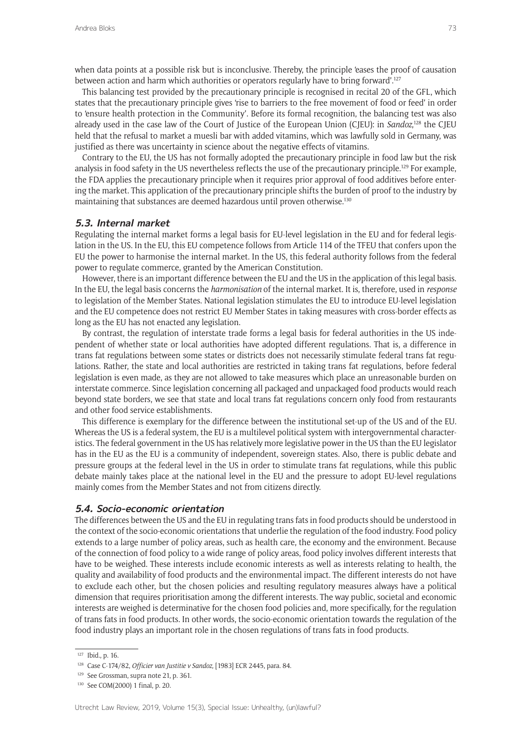when data points at a possible risk but is inconclusive. Thereby, the principle 'eases the proof of causation between action and harm which authorities or operators regularly have to bring forward'.<sup>127</sup>

This balancing test provided by the precautionary principle is recognised in recital 20 of the GFL, which states that the precautionary principle gives 'rise to barriers to the free movement of food or feed' in order to 'ensure health protection in the Community'. Before its formal recognition, the balancing test was also already used in the case law of the Court of Justice of the European Union (CJEU): in *Sandoz*,<sup>128</sup> the CJEU held that the refusal to market a muesli bar with added vitamins, which was lawfully sold in Germany, was justified as there was uncertainty in science about the negative effects of vitamins.

Contrary to the EU, the US has not formally adopted the precautionary principle in food law but the risk analysis in food safety in the US nevertheless reflects the use of the precautionary principle.129 For example, the FDA applies the precautionary principle when it requires prior approval of food additives before entering the market. This application of the precautionary principle shifts the burden of proof to the industry by maintaining that substances are deemed hazardous until proven otherwise.130

#### **5.3. Internal market**

Regulating the internal market forms a legal basis for EU-level legislation in the EU and for federal legislation in the US. In the EU, this EU competence follows from Article 114 of the TFEU that confers upon the EU the power to harmonise the internal market. In the US, this federal authority follows from the federal power to regulate commerce, granted by the American Constitution.

However, there is an important difference between the EU and the US in the application of this legal basis. In the EU, the legal basis concerns the *harmonisation* of the internal market. It is, therefore, used in *response* to legislation of the Member States. National legislation stimulates the EU to introduce EU-level legislation and the EU competence does not restrict EU Member States in taking measures with cross-border effects as long as the EU has not enacted any legislation.

By contrast, the regulation of interstate trade forms a legal basis for federal authorities in the US independent of whether state or local authorities have adopted different regulations. That is, a difference in trans fat regulations between some states or districts does not necessarily stimulate federal trans fat regulations. Rather, the state and local authorities are restricted in taking trans fat regulations, before federal legislation is even made, as they are not allowed to take measures which place an unreasonable burden on interstate commerce. Since legislation concerning all packaged and unpackaged food products would reach beyond state borders, we see that state and local trans fat regulations concern only food from restaurants and other food service establishments.

This difference is exemplary for the difference between the institutional set-up of the US and of the EU. Whereas the US is a federal system, the EU is a multilevel political system with intergovernmental characteristics. The federal government in the US has relatively more legislative power in the US than the EU legislator has in the EU as the EU is a community of independent, sovereign states. Also, there is public debate and pressure groups at the federal level in the US in order to stimulate trans fat regulations, while this public debate mainly takes place at the national level in the EU and the pressure to adopt EU-level regulations mainly comes from the Member States and not from citizens directly.

## **5.4. Socio-economic orientation**

The differences between the US and the EU in regulating trans fats in food products should be understood in the context of the socio-economic orientations that underlie the regulation of the food industry. Food policy extends to a large number of policy areas, such as health care, the economy and the environment. Because of the connection of food policy to a wide range of policy areas, food policy involves different interests that have to be weighed. These interests include economic interests as well as interests relating to health, the quality and availability of food products and the environmental impact. The different interests do not have to exclude each other, but the chosen policies and resulting regulatory measures always have a political dimension that requires prioritisation among the different interests. The way public, societal and economic interests are weighed is determinative for the chosen food policies and, more specifically, for the regulation of trans fats in food products. In other words, the socio-economic orientation towards the regulation of the food industry plays an important role in the chosen regulations of trans fats in food products.

<sup>127</sup> Ibid., p. 16.

<sup>128</sup> Case C-174/82, *Officier van Justitie v Sandoz*, [1983] ECR 2445, para. 84.

<sup>&</sup>lt;sup>129</sup> See Grossman, supra note 21, p. 361.

<sup>130</sup> See COM(2000) 1 final, p. 20.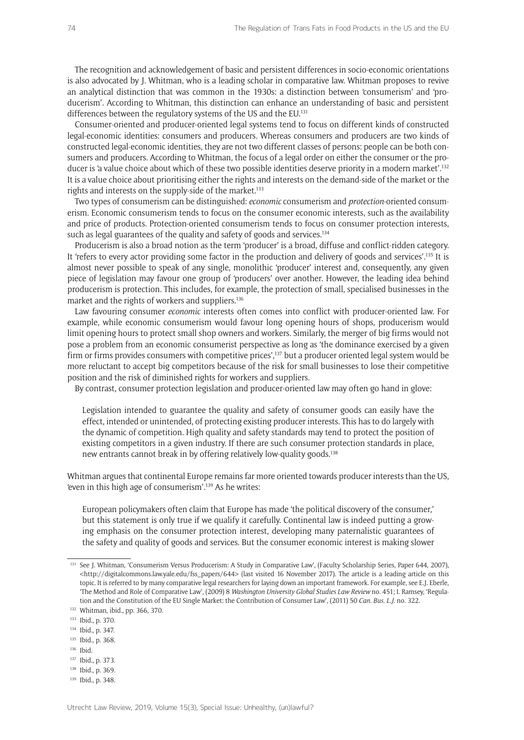The recognition and acknowledgement of basic and persistent differences in socio-economic orientations is also advocated by J. Whitman, who is a leading scholar in comparative law. Whitman proposes to revive an analytical distinction that was common in the 1930s: a distinction between 'consumerism' and 'producerism'. According to Whitman, this distinction can enhance an understanding of basic and persistent differences between the regulatory systems of the US and the EU.<sup>131</sup>

Consumer-oriented and producer-oriented legal systems tend to focus on different kinds of constructed legal-economic identities: consumers and producers. Whereas consumers and producers are two kinds of constructed legal-economic identities, they are not two different classes of persons: people can be both consumers and producers. According to Whitman, the focus of a legal order on either the consumer or the producer is 'a value choice about which of these two possible identities deserve priority in a modern market'.<sup>132</sup> It is a value choice about prioritising either the rights and interests on the demand-side of the market or the rights and interests on the supply-side of the market.<sup>133</sup>

Two types of consumerism can be distinguished: *economic* consumerism and *protection*-oriented consumerism. Economic consumerism tends to focus on the consumer economic interests, such as the availability and price of products. Protection-oriented consumerism tends to focus on consumer protection interests, such as legal guarantees of the quality and safety of goods and services.<sup>134</sup>

Producerism is also a broad notion as the term 'producer' is a broad, diffuse and conflict-ridden category. It 'refers to every actor providing some factor in the production and delivery of goods and services'.135 It is almost never possible to speak of any single, monolithic 'producer' interest and, consequently, any given piece of legislation may favour one group of 'producers' over another. However, the leading idea behind producerism is protection. This includes, for example, the protection of small, specialised businesses in the market and the rights of workers and suppliers.<sup>136</sup>

Law favouring consumer *economic* interests often comes into conflict with producer-oriented law. For example, while economic consumerism would favour long opening hours of shops, producerism would limit opening hours to protect small shop owners and workers. Similarly, the merger of big firms would not pose a problem from an economic consumerist perspective as long as 'the dominance exercised by a given firm or firms provides consumers with competitive prices',<sup>137</sup> but a producer oriented legal system would be more reluctant to accept big competitors because of the risk for small businesses to lose their competitive position and the risk of diminished rights for workers and suppliers.

By contrast, consumer protection legislation and producer-oriented law may often go hand in glove:

Legislation intended to guarantee the quality and safety of consumer goods can easily have the effect, intended or unintended, of protecting existing producer interests. This has to do largely with the dynamic of competition. High quality and safety standards may tend to protect the position of existing competitors in a given industry. If there are such consumer protection standards in place, new entrants cannot break in by offering relatively low-quality goods.138

Whitman argues that continental Europe remains far more oriented towards producer interests than the US, 'even in this high age of consumerism'.139 As he writes:

European policymakers often claim that Europe has made 'the political discovery of the consumer,' but this statement is only true if we qualify it carefully. Continental law is indeed putting a growing emphasis on the consumer protection interest, developing many paternalistic guarantees of the safety and quality of goods and services. But the consumer economic interest is making slower

- <sup>135</sup> Ibid., p. 368.
- <sup>136</sup> Ibid.
- <sup>137</sup> Ibid., p. 373.
- <sup>138</sup> Ibid., p. 369.
- <sup>139</sup> Ibid., p. 348.

<sup>&</sup>lt;sup>131</sup> See J. Whitman, 'Consumerism Versus Producerism: A Study in Comparative Law', (Faculty Scholarship Series, Paper 644, 2007), <http://digitalcommons.law.yale.edu/fss\_papers/644> (last visited 16 November 2017). The article is a leading article on this topic. It is referred to by many comparative legal researchers for laying down an important framework. For example, see E.J. Eberle, 'The Method and Role of Comparative Law', (2009) 8 *Washington University Global Studies Law Review* no. 451; I. Ramsey, 'Regulation and the Constitution of the EU Single Market: the Contribution of Consumer Law', (2011) 50 *Can. Bus. L.J*. no. 322.

<sup>132</sup> Whitman, ibid., pp. 366, 370.

<sup>133</sup> Ibid., p. 370.

<sup>134</sup> Ibid., p. 347.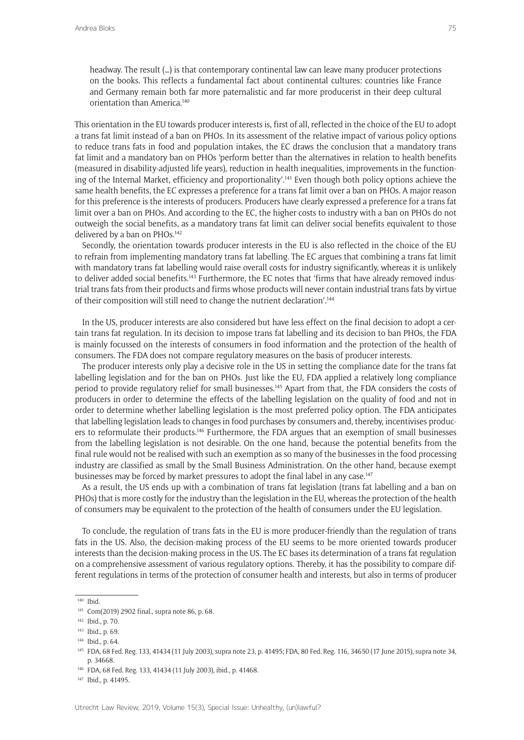headway. The result (…) is that contemporary continental law can leave many producer protections on the books. This reflects a fundamental fact about continental cultures: countries like France and Germany remain both far more paternalistic and far more producerist in their deep cultural orientation than America.140

This orientation in the EU towards producer interests is, first of all, reflected in the choice of the EU to adopt a trans fat limit instead of a ban on PHOs. In its assessment of the relative impact of various policy options to reduce trans fats in food and population intakes, the EC draws the conclusion that a mandatory trans fat limit and a mandatory ban on PHOs 'perform better than the alternatives in relation to health benefits (measured in disability-adjusted life years), reduction in health inequalities, improvements in the functioning of the Internal Market, efficiency and proportionality'.141 Even though both policy options achieve the same health benefits, the EC expresses a preference for a trans fat limit over a ban on PHOs. A major reason for this preference is the interests of producers. Producers have clearly expressed a preference for a trans fat limit over a ban on PHOs. And according to the EC, the higher costs to industry with a ban on PHOs do not outweigh the social benefits, as a mandatory trans fat limit can deliver social benefits equivalent to those delivered by a ban on PHOs.<sup>142</sup>

Secondly, the orientation towards producer interests in the EU is also reflected in the choice of the EU to refrain from implementing mandatory trans fat labelling. The EC argues that combining a trans fat limit with mandatory trans fat labelling would raise overall costs for industry significantly, whereas it is unlikely to deliver added social benefits.<sup>143</sup> Furthermore, the EC notes that 'firms that have already removed industrial trans fats from their products and firms whose products will never contain industrial trans fats by virtue of their composition will still need to change the nutrient declaration'.<sup>144</sup>

In the US, producer interests are also considered but have less effect on the final decision to adopt a certain trans fat regulation. In its decision to impose trans fat labelling and its decision to ban PHOs, the FDA is mainly focussed on the interests of consumers in food information and the protection of the health of consumers. The FDA does not compare regulatory measures on the basis of producer interests.

The producer interests only play a decisive role in the US in setting the compliance date for the trans fat labelling legislation and for the ban on PHOs. Just like the EU, FDA applied a relatively long compliance period to provide regulatory relief for small businesses.<sup>145</sup> Apart from that, the FDA considers the costs of producers in order to determine the effects of the labelling legislation on the quality of food and not in order to determine whether labelling legislation is the most preferred policy option. The FDA anticipates that labelling legislation leads to changes in food purchases by consumers and, thereby, incentivises producers to reformulate their products.<sup>146</sup> Furthermore, the FDA argues that an exemption of small businesses from the labelling legislation is not desirable. On the one hand, because the potential benefits from the final rule would not be realised with such an exemption as so many of the businesses in the food processing industry are classified as small by the Small Business Administration. On the other hand, because exempt businesses may be forced by market pressures to adopt the final label in any case.<sup>147</sup>

As a result, the US ends up with a combination of trans fat legislation (trans fat labelling and a ban on PHOs) that is more costly for the industry than the legislation in the EU, whereas the protection of the health of consumers may be equivalent to the protection of the health of consumers under the EU legislation.

To conclude, the regulation of trans fats in the EU is more producer-friendly than the regulation of trans fats in the US. Also, the decision-making process of the EU seems to be more oriented towards producer interests than the decision-making process in the US. The EC bases its determination of a trans fat regulation on a comprehensive assessment of various regulatory options. Thereby, it has the possibility to compare different regulations in terms of the protection of consumer health and interests, but also in terms of producer

 $\overline{140}$  Ibid.

<sup>141</sup> Com(2019) 2902 final., supra note 86, p. 68.

<sup>142</sup> Ibid., p. 70.

<sup>143</sup> Ibid., p. 69.

<sup>&</sup>lt;sup>144</sup> Ibid., p. 64.

<sup>145</sup> FDA, 68 Fed. Reg. 133, 41434 (11 July 2003), supra note 23, p. 41495; FDA, 80 Fed. Reg. 116, 34650 (17 June 2015), supra note 34, p. 34668.

<sup>146</sup> FDA, 68 Fed. Reg. 133, 41434 (11 July 2003), ibid., p. 41468.

<sup>147</sup> Ibid., p. 41495.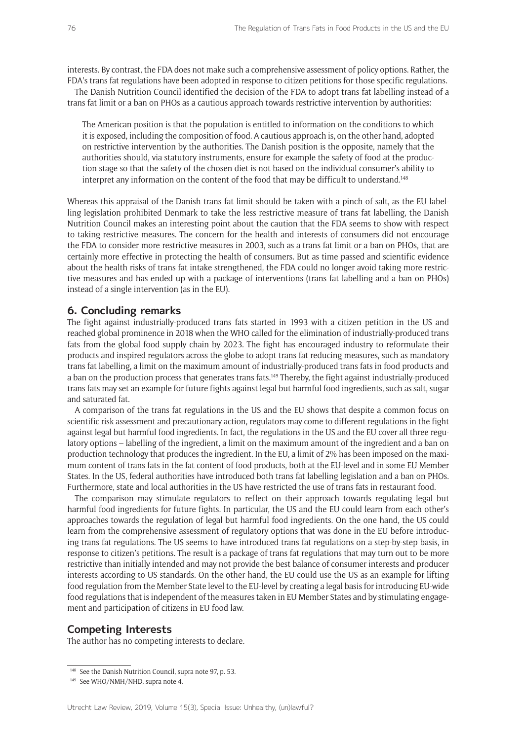interests. By contrast, the FDA does not make such a comprehensive assessment of policy options. Rather, the FDA's trans fat regulations have been adopted in response to citizen petitions for those specific regulations.

The Danish Nutrition Council identified the decision of the FDA to adopt trans fat labelling instead of a trans fat limit or a ban on PHOs as a cautious approach towards restrictive intervention by authorities:

The American position is that the population is entitled to information on the conditions to which it is exposed, including the composition of food. A cautious approach is, on the other hand, adopted on restrictive intervention by the authorities. The Danish position is the opposite, namely that the authorities should, via statutory instruments, ensure for example the safety of food at the production stage so that the safety of the chosen diet is not based on the individual consumer's ability to interpret any information on the content of the food that may be difficult to understand.148

Whereas this appraisal of the Danish trans fat limit should be taken with a pinch of salt, as the EU labelling legislation prohibited Denmark to take the less restrictive measure of trans fat labelling, the Danish Nutrition Council makes an interesting point about the caution that the FDA seems to show with respect to taking restrictive measures. The concern for the health and interests of consumers did not encourage the FDA to consider more restrictive measures in 2003, such as a trans fat limit or a ban on PHOs, that are certainly more effective in protecting the health of consumers. But as time passed and scientific evidence about the health risks of trans fat intake strengthened, the FDA could no longer avoid taking more restrictive measures and has ended up with a package of interventions (trans fat labelling and a ban on PHOs) instead of a single intervention (as in the EU).

## **6. Concluding remarks**

The fight against industrially-produced trans fats started in 1993 with a citizen petition in the US and reached global prominence in 2018 when the WHO called for the elimination of industrially-produced trans fats from the global food supply chain by 2023. The fight has encouraged industry to reformulate their products and inspired regulators across the globe to adopt trans fat reducing measures, such as mandatory trans fat labelling, a limit on the maximum amount of industrially-produced trans fats in food products and a ban on the production process that generates trans fats.149 Thereby, the fight against industrially-produced trans fats may set an example for future fights against legal but harmful food ingredients, such as salt, sugar and saturated fat.

A comparison of the trans fat regulations in the US and the EU shows that despite a common focus on scientific risk assessment and precautionary action, regulators may come to different regulations in the fight against legal but harmful food ingredients. In fact, the regulations in the US and the EU cover all three regulatory options – labelling of the ingredient, a limit on the maximum amount of the ingredient and a ban on production technology that produces the ingredient. In the EU, a limit of 2% has been imposed on the maximum content of trans fats in the fat content of food products, both at the EU-level and in some EU Member States. In the US, federal authorities have introduced both trans fat labelling legislation and a ban on PHOs. Furthermore, state and local authorities in the US have restricted the use of trans fats in restaurant food.

The comparison may stimulate regulators to reflect on their approach towards regulating legal but harmful food ingredients for future fights. In particular, the US and the EU could learn from each other's approaches towards the regulation of legal but harmful food ingredients. On the one hand, the US could learn from the comprehensive assessment of regulatory options that was done in the EU before introducing trans fat regulations. The US seems to have introduced trans fat regulations on a step-by-step basis, in response to citizen's petitions. The result is a package of trans fat regulations that may turn out to be more restrictive than initially intended and may not provide the best balance of consumer interests and producer interests according to US standards. On the other hand, the EU could use the US as an example for lifting food regulation from the Member State level to the EU-level by creating a legal basis for introducing EU-wide food regulations that is independent of the measures taken in EU Member States and by stimulating engagement and participation of citizens in EU food law.

#### **Competing Interests**

The author has no competing interests to declare.

<sup>&</sup>lt;sup>148</sup> See the Danish Nutrition Council, supra note 97, p. 53.

<sup>&</sup>lt;sup>149</sup> See WHO/NMH/NHD, supra note 4.